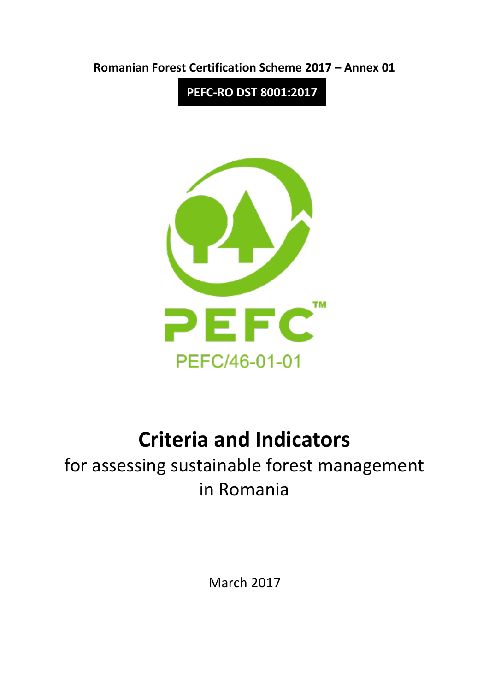

**PEFC-RO DST 8001:2017**



# **Criteria and Indicators**

for assessing sustainable forest management in Romania

March 2017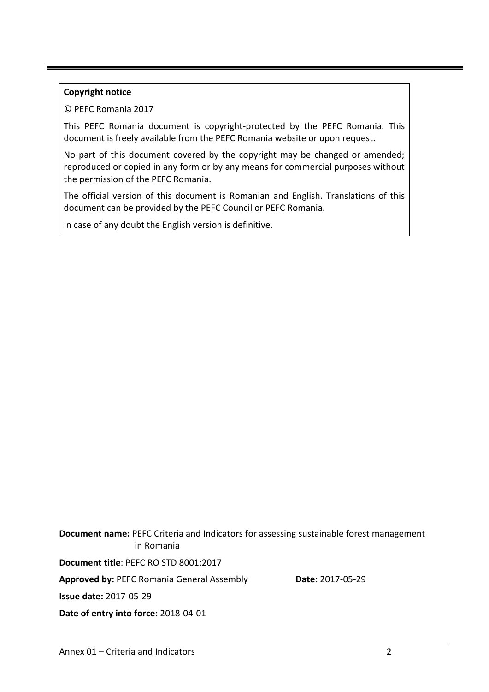#### **Copyright notice**

© PEFC Romania 2017

This PEFC Romania document is copyright-protected by the PEFC Romania. This document is freely available from the PEFC Romania website or upon request.

No part of this document covered by the copyright may be changed or amended; reproduced or copied in any form or by any means for commercial purposes without the permission of the PEFC Romania.

The official version of this document is Romanian and English. Translations of this document can be provided by the PEFC Council or PEFC Romania.

In case of any doubt the English version is definitive.

**Document name:** PEFC Criteria and Indicators for assessing sustainable forest management in Romania

**Document title**: PEFC RO STD 8001:2017

Approved by: PEFC Romania General Assembly **Date: 2017-05-29** 

**Issue date:** 2017-05-29

**Date of entry into force:** 2018-04-01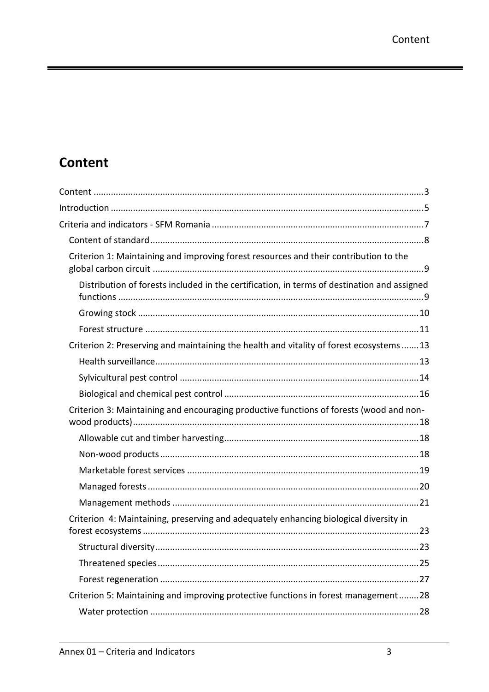# <span id="page-2-0"></span>**Content**

| Criterion 1: Maintaining and improving forest resources and their contribution to the       |
|---------------------------------------------------------------------------------------------|
| Distribution of forests included in the certification, in terms of destination and assigned |
|                                                                                             |
|                                                                                             |
| Criterion 2: Preserving and maintaining the health and vitality of forest ecosystems 13     |
|                                                                                             |
|                                                                                             |
|                                                                                             |
| Criterion 3: Maintaining and encouraging productive functions of forests (wood and non-     |
|                                                                                             |
|                                                                                             |
|                                                                                             |
|                                                                                             |
|                                                                                             |
| Criterion 4: Maintaining, preserving and adequately enhancing biological diversity in       |
|                                                                                             |
|                                                                                             |
|                                                                                             |
| Criterion 5: Maintaining and improving protective functions in forest management28          |
|                                                                                             |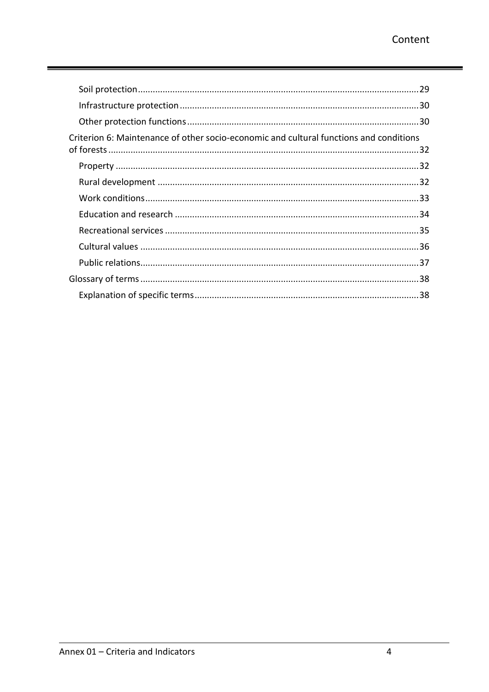ı

| .29                                                                                    |  |
|----------------------------------------------------------------------------------------|--|
|                                                                                        |  |
|                                                                                        |  |
| Criterion 6: Maintenance of other socio-economic and cultural functions and conditions |  |
|                                                                                        |  |
|                                                                                        |  |
|                                                                                        |  |
|                                                                                        |  |
|                                                                                        |  |
|                                                                                        |  |
|                                                                                        |  |
|                                                                                        |  |
|                                                                                        |  |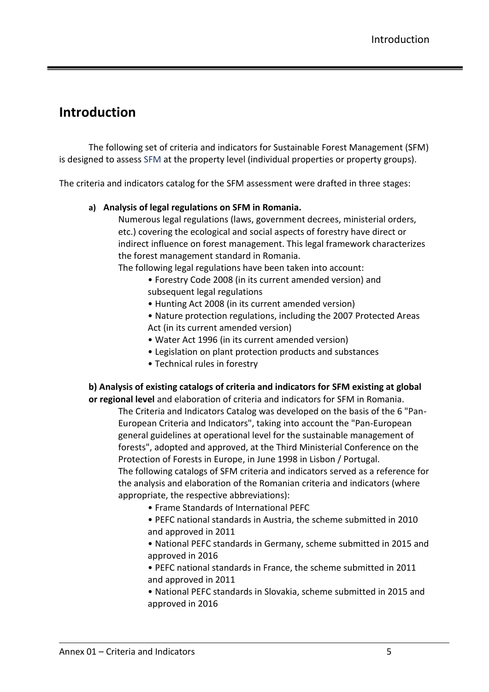# <span id="page-4-0"></span>**Introduction**

The following set of criteria and indicators for Sustainable Forest Management (SFM) is designed to assess SFM at the property level (individual properties or property groups).

The criteria and indicators catalog for the SFM assessment were drafted in three stages:

#### **a) Analysis of legal regulations on SFM in Romania.**

Numerous legal regulations (laws, government decrees, ministerial orders, etc.) covering the ecological and social aspects of forestry have direct or indirect influence on forest management. This legal framework characterizes the forest management standard in Romania.

The following legal regulations have been taken into account:

- Forestry Code 2008 (in its current amended version) and subsequent legal regulations
- Hunting Act 2008 (in its current amended version)
- Nature protection regulations, including the 2007 Protected Areas Act (in its current amended version)
- Water Act 1996 (in its current amended version)
- Legislation on plant protection products and substances
- Technical rules in forestry

#### **b) Analysis of existing catalogs of criteria and indicators for SFM existing at global**

**or regional level** and elaboration of criteria and indicators for SFM in Romania.

The Criteria and Indicators Catalog was developed on the basis of the 6 "Pan-European Criteria and Indicators", taking into account the "Pan-European general guidelines at operational level for the sustainable management of forests", adopted and approved, at the Third Ministerial Conference on the Protection of Forests in Europe, in June 1998 in Lisbon / Portugal. The following catalogs of SFM criteria and indicators served as a reference for the analysis and elaboration of the Romanian criteria and indicators (where appropriate, the respective abbreviations):

- Frame Standards of International PEFC
- PEFC national standards in Austria, the scheme submitted in 2010 and approved in 2011

• National PEFC standards in Germany, scheme submitted in 2015 and approved in 2016

- PEFC national standards in France, the scheme submitted in 2011 and approved in 2011
- National PEFC standards in Slovakia, scheme submitted in 2015 and approved in 2016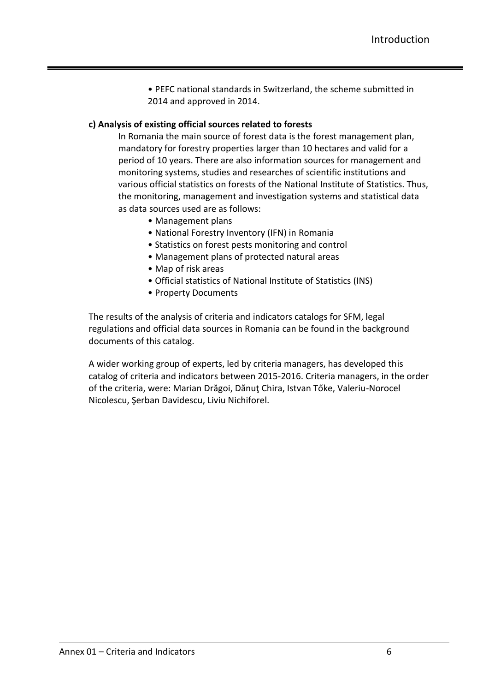• PEFC national standards in Switzerland, the scheme submitted in 2014 and approved in 2014.

#### **c) Analysis of existing official sources related to forests**

In Romania the main source of forest data is the forest management plan, mandatory for forestry properties larger than 10 hectares and valid for a period of 10 years. There are also information sources for management and monitoring systems, studies and researches of scientific institutions and various official statistics on forests of the National Institute of Statistics. Thus, the monitoring, management and investigation systems and statistical data as data sources used are as follows:

- Management plans
- National Forestry Inventory (IFN) in Romania
- Statistics on forest pests monitoring and control
- Management plans of protected natural areas
- Map of risk areas
- Official statistics of National Institute of Statistics (INS)
- Property Documents

The results of the analysis of criteria and indicators catalogs for SFM, legal regulations and official data sources in Romania can be found in the background documents of this catalog.

A wider working group of experts, led by criteria managers, has developed this catalog of criteria and indicators between 2015-2016. Criteria managers, in the order of the criteria, were: Marian Drăgoi, Dănuţ Chira, Istvan Tőke, Valeriu-Norocel Nicolescu, Şerban Davidescu, Liviu Nichiforel.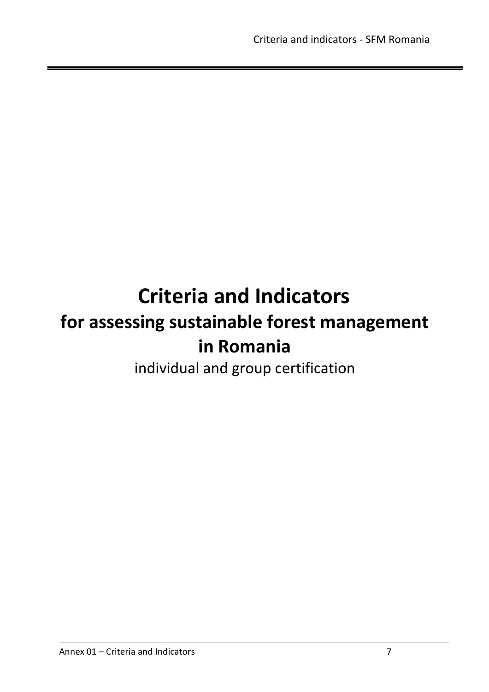# <span id="page-6-0"></span>**Criteria and Indicators for assessing sustainable forest management in Romania**

individual and group certification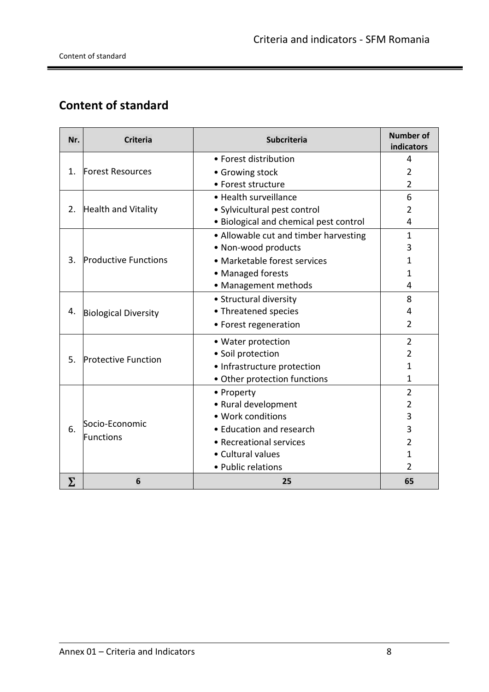۰

# <span id="page-7-0"></span>**Content of standard**

| Nr.                                       | <b>Criteria</b>             | <b>Subcriteria</b>                     | <b>Number of</b><br>indicators |
|-------------------------------------------|-----------------------------|----------------------------------------|--------------------------------|
|                                           |                             | • Forest distribution                  | 4                              |
| <b>Forest Resources</b><br>$\mathbf{1}$ . |                             | • Growing stock                        | $\overline{2}$                 |
|                                           |                             | • Forest structure                     | $\overline{2}$                 |
|                                           |                             | • Health surveillance                  | 6                              |
| 2.                                        | Health and Vitality         | · Sylvicultural pest control           | 2                              |
|                                           |                             | · Biological and chemical pest control | 4                              |
|                                           |                             | • Allowable cut and timber harvesting  | $\mathbf{1}$                   |
|                                           |                             | • Non-wood products                    | 3                              |
| 3.                                        | <b>Productive Functions</b> | • Marketable forest services           | 1                              |
|                                           |                             | • Managed forests                      | 1                              |
|                                           |                             | • Management methods                   | 4                              |
|                                           |                             | • Structural diversity                 | 8                              |
| 4.                                        | <b>Biological Diversity</b> | • Threatened species                   | 4                              |
|                                           |                             | • Forest regeneration                  | 2                              |
|                                           |                             | • Water protection                     | $\overline{2}$                 |
| .5.                                       | <b>Protective Function</b>  | · Soil protection                      | 2                              |
|                                           |                             | · Infrastructure protection            | 1                              |
|                                           |                             | · Other protection functions           | 1                              |
|                                           |                             | • Property                             | $\overline{2}$                 |
|                                           | Socio-Economic<br>Functions | • Rural development                    | $\overline{2}$                 |
| 6.                                        |                             | · Work conditions                      | 3                              |
|                                           |                             | • Education and research               | 3                              |
|                                           |                             | • Recreational services                | 2                              |
|                                           |                             | • Cultural values                      | 1                              |
|                                           |                             | • Public relations                     | $\overline{2}$                 |
| Σ                                         | 6                           | 25                                     | 65                             |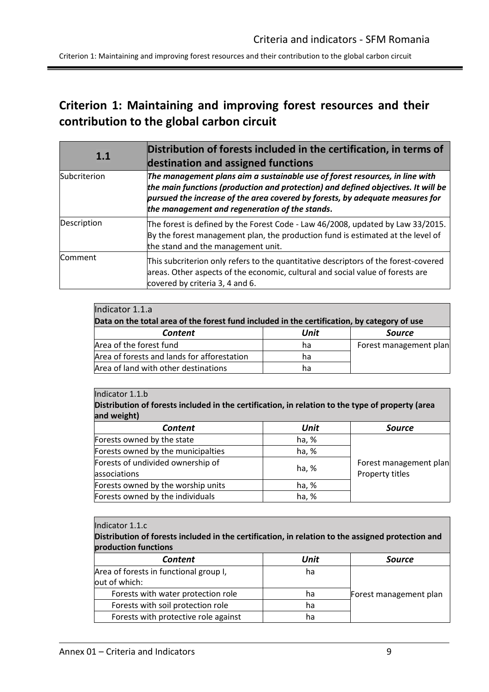Criterion 1: Maintaining and improving forest resources and their contribution to the global carbon circuit

# <span id="page-8-0"></span>**Criterion 1: Maintaining and improving forest resources and their contribution to the global carbon circuit**

<span id="page-8-1"></span>

| 1.1          | Distribution of forests included in the certification, in terms of<br>destination and assigned functions                                                                                                                                                                                             |  |  |
|--------------|------------------------------------------------------------------------------------------------------------------------------------------------------------------------------------------------------------------------------------------------------------------------------------------------------|--|--|
| Subcriterion | The management plans aim a sustainable use of forest resources, in line with<br>the main functions (production and protection) and defined objectives. It will be<br>pursued the increase of the area covered by forests, by adequate measures for<br>the management and regeneration of the stands. |  |  |
| Description  | The forest is defined by the Forest Code - Law 46/2008, updated by Law 33/2015.<br>By the forest management plan, the production fund is estimated at the level of<br>the stand and the management unit.                                                                                             |  |  |
| Comment      | This subcriterion only refers to the quantitative descriptors of the forest-covered<br>areas. Other aspects of the economic, cultural and social value of forests are<br>covered by criteria 3, 4 and 6.                                                                                             |  |  |

| Indicator 1.1.a                                                                             |      |                        |  |
|---------------------------------------------------------------------------------------------|------|------------------------|--|
| Data on the total area of the forest fund included in the certification, by category of use |      |                        |  |
| <b>Content</b>                                                                              | Unit | <b>Source</b>          |  |
| Area of the forest fund                                                                     | ha   | Forest management plan |  |
| Area of forests and lands for afforestation                                                 | ha   |                        |  |
| Area of land with other destinations                                                        | ha   |                        |  |

#### Indicator 1.1.b

**Distribution of forests included in the certification, in relation to the type of property (area and weight)**

| <b>Content</b>                     | Unit  | <b>Source</b>          |
|------------------------------------|-------|------------------------|
| Forests owned by the state         | ha, % |                        |
| Forests owned by the municipalties | ha, % |                        |
| Forests of undivided ownership of  | ha, % | Forest management plan |
| associations                       |       | Property titles        |
| Forests owned by the worship units | ha, % |                        |
| Forests owned by the individuals   | ha, % |                        |

#### Indicator 1.1.c

**Distribution of forests included in the certification, in relation to the assigned protection and production functions**

| <b>Content</b>                         | Unit | <b>Source</b>          |
|----------------------------------------|------|------------------------|
| Area of forests in functional group I, | ha   |                        |
| out of which:                          |      |                        |
| Forests with water protection role     | ha   | Forest management plan |
| Forests with soil protection role      | ha   |                        |
| Forests with protective role against   | na   |                        |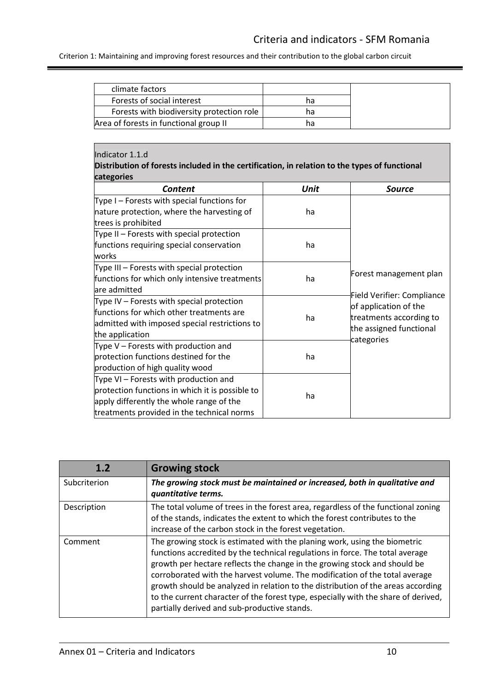Criterion 1: Maintaining and improving forest resources and their contribution to the global carbon circuit

| climate factors                           |    |
|-------------------------------------------|----|
| Forests of social interest                | hа |
| Forests with biodiversity protection role | ha |
| Area of forests in functional group II    | na |

#### Indicator 1.1.d

#### **Distribution of forests included in the certification, in relation to the types of functional categories**

| <b>Content</b>                                  | Unit | Source                                                     |
|-------------------------------------------------|------|------------------------------------------------------------|
| Type $I$ – Forests with special functions for   |      |                                                            |
| nature protection, where the harvesting of      | ha   |                                                            |
| trees is prohibited                             |      |                                                            |
| Type II – Forests with special protection       |      |                                                            |
| functions requiring special conservation        | ha   |                                                            |
| works                                           |      |                                                            |
| Type III - Forests with special protection      |      |                                                            |
| functions for which only intensive treatments   | ha   | Forest management plan                                     |
| are admitted                                    |      | <b>Field Verifier: Compliance</b><br>of application of the |
| Type IV $-$ Forests with special protection     |      |                                                            |
| functions for which other treatments are        | ha   | treatments according to                                    |
| admitted with imposed special restrictions to   |      | the assigned functional                                    |
| the application                                 |      | categories                                                 |
| Type $V$ – Forests with production and          |      |                                                            |
| protection functions destined for the           | ha   |                                                            |
| production of high quality wood                 |      |                                                            |
| Type VI - Forests with production and           |      |                                                            |
| protection functions in which it is possible to | ha   |                                                            |
| apply differently the whole range of the        |      |                                                            |
| treatments provided in the technical norms      |      |                                                            |

<span id="page-9-0"></span>

| 1.2          | <b>Growing stock</b>                                                                                                                                                                                                                                                                                                                                                                                                                                                                                                                             |
|--------------|--------------------------------------------------------------------------------------------------------------------------------------------------------------------------------------------------------------------------------------------------------------------------------------------------------------------------------------------------------------------------------------------------------------------------------------------------------------------------------------------------------------------------------------------------|
| Subcriterion | The growing stock must be maintained or increased, both in qualitative and<br>quantitative terms.                                                                                                                                                                                                                                                                                                                                                                                                                                                |
| Description  | The total volume of trees in the forest area, regardless of the functional zoning<br>of the stands, indicates the extent to which the forest contributes to the<br>increase of the carbon stock in the forest vegetation.                                                                                                                                                                                                                                                                                                                        |
| Comment      | The growing stock is estimated with the planing work, using the biometric<br>functions accredited by the technical regulations in force. The total average<br>growth per hectare reflects the change in the growing stock and should be<br>corroborated with the harvest volume. The modification of the total average<br>growth should be analyzed in relation to the distribution of the areas according<br>to the current character of the forest type, especially with the share of derived,<br>partially derived and sub-productive stands. |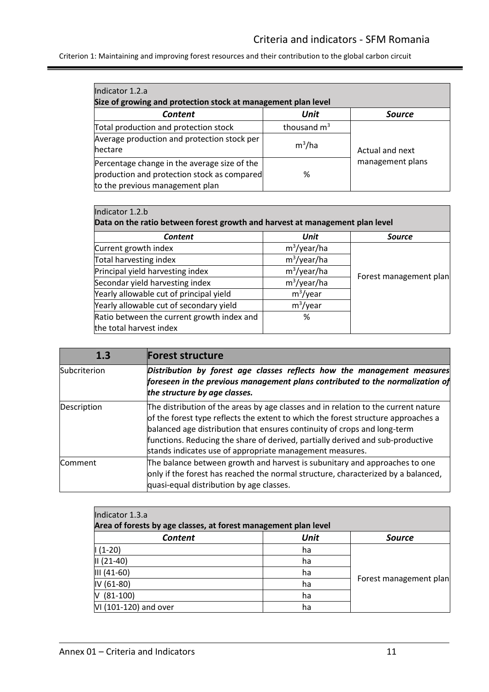Criterion 1: Maintaining and improving forest resources and their contribution to the global carbon circuit

| Indicator 1.2.a<br>Size of growing and protection stock at management plan level                                               |               |                  |  |
|--------------------------------------------------------------------------------------------------------------------------------|---------------|------------------|--|
| Content                                                                                                                        | Unit          | <b>Source</b>    |  |
| Total production and protection stock                                                                                          | thousand $m3$ |                  |  |
| Average production and protection stock per<br>hectare                                                                         | $m^3/ha$      | Actual and next  |  |
| Percentage change in the average size of the<br>production and protection stock as compared<br>to the previous management plan | %             | management plans |  |

| Indicator 1.2.b                                                              |                |                        |
|------------------------------------------------------------------------------|----------------|------------------------|
| Data on the ratio between forest growth and harvest at management plan level |                |                        |
| <b>Content</b>                                                               | Unit           | <b>Source</b>          |
| Current growth index                                                         | $m^3$ /year/ha |                        |
| Total harvesting index                                                       | $m^3$ /year/ha |                        |
| Principal yield harvesting index                                             | $m^3$ /year/ha | Forest management plan |
| Secondar yield harvesting index                                              | $m^3$ /year/ha |                        |
| Yearly allowable cut of principal yield                                      | $m^3$ /year    |                        |
| Yearly allowable cut of secondary yield                                      | $m^3$ /year    |                        |
| Ratio between the current growth index and                                   | %              |                        |
| the total harvest index                                                      |                |                        |

<span id="page-10-0"></span>

| 1.3            | <b>Forest structure</b>                                                                                                                                                                                                                                                                                                                                                                           |
|----------------|---------------------------------------------------------------------------------------------------------------------------------------------------------------------------------------------------------------------------------------------------------------------------------------------------------------------------------------------------------------------------------------------------|
| Subcriterion   | Distribution by forest age classes reflects how the management measures<br>foreseen in the previous management plans contributed to the normalization of<br>the structure by age classes.                                                                                                                                                                                                         |
| Description    | The distribution of the areas by age classes and in relation to the current nature<br>of the forest type reflects the extent to which the forest structure approaches a<br>balanced age distribution that ensures continuity of crops and long-term<br>functions. Reducing the share of derived, partially derived and sub-productive<br>stands indicates use of appropriate management measures. |
| <b>Comment</b> | The balance between growth and harvest is subunitary and approaches to one<br>only if the forest has reached the normal structure, characterized by a balanced,<br>quasi-equal distribution by age classes.                                                                                                                                                                                       |

| Indicator 1.3.a                                                 |      |                        |  |
|-----------------------------------------------------------------|------|------------------------|--|
| Area of forests by age classes, at forest management plan level |      |                        |  |
| <b>Content</b>                                                  | Unit | <b>Source</b>          |  |
| $(1-20)$                                                        | ha   |                        |  |
| $II(21-40)$                                                     | ha   |                        |  |
| $III (41-60)$                                                   | ha   |                        |  |
| $IV (61-80)$                                                    | ha   | Forest management plan |  |
| $(81-100)$<br>M                                                 | ha   |                        |  |
| VI (101-120) and over                                           | ha   |                        |  |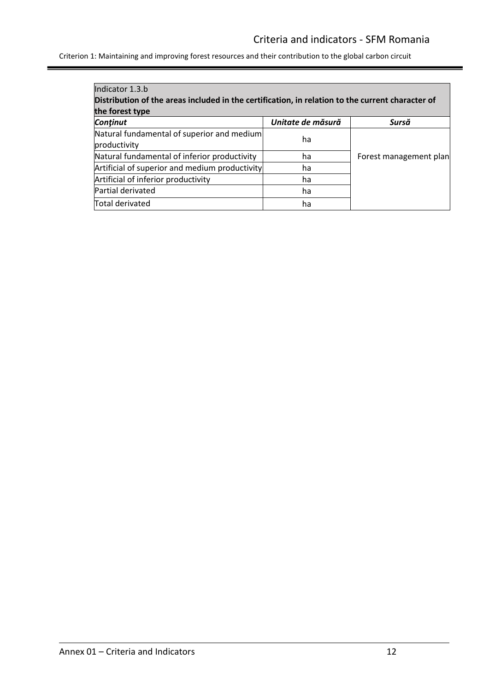Criterion 1: Maintaining and improving forest resources and their contribution to the global carbon circuit

| Indicator 1.3.b                                                                                  |                   |                        |
|--------------------------------------------------------------------------------------------------|-------------------|------------------------|
| Distribution of the areas included in the certification, in relation to the current character of |                   |                        |
| the forest type                                                                                  |                   |                        |
| Continut                                                                                         | Unitate de măsură | Sursă                  |
| Natural fundamental of superior and medium<br>productivity                                       | ha                |                        |
| Natural fundamental of inferior productivity                                                     | ha                | Forest management plan |
| Artificial of superior and medium productivity                                                   | ha                |                        |
| Artificial of inferior productivity                                                              | ha                |                        |
| Partial derivated                                                                                | ha                |                        |
| Total derivated                                                                                  | ha                |                        |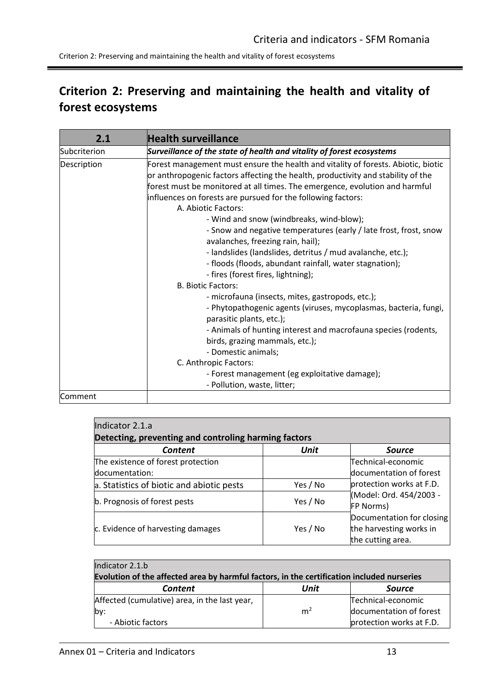# <span id="page-12-0"></span>**Criterion 2: Preserving and maintaining the health and vitality of forest ecosystems**

<span id="page-12-1"></span>

| 2.1          | <b>Health surveillance</b>                                                                                                                                                                                                                                                                                                                                                                                                                                                                                                                                                                                                                                                                                                                                                                                                                                                                                                                                                                            |
|--------------|-------------------------------------------------------------------------------------------------------------------------------------------------------------------------------------------------------------------------------------------------------------------------------------------------------------------------------------------------------------------------------------------------------------------------------------------------------------------------------------------------------------------------------------------------------------------------------------------------------------------------------------------------------------------------------------------------------------------------------------------------------------------------------------------------------------------------------------------------------------------------------------------------------------------------------------------------------------------------------------------------------|
| Subcriterion | Surveillance of the state of health and vitality of forest ecosystems                                                                                                                                                                                                                                                                                                                                                                                                                                                                                                                                                                                                                                                                                                                                                                                                                                                                                                                                 |
| Description  | Forest management must ensure the health and vitality of forests. Abiotic, biotic<br>or anthropogenic factors affecting the health, productivity and stability of the<br>forest must be monitored at all times. The emergence, evolution and harmful<br>influences on forests are pursued for the following factors:<br>A. Abiotic Factors:<br>- Wind and snow (windbreaks, wind-blow);<br>- Snow and negative temperatures (early / late frost, frost, snow<br>avalanches, freezing rain, hail);<br>- landslides (landslides, detritus / mud avalanche, etc.);<br>- floods (floods, abundant rainfall, water stagnation);<br>- fires (forest fires, lightning);<br><b>B. Biotic Factors:</b><br>- microfauna (insects, mites, gastropods, etc.);<br>- Phytopathogenic agents (viruses, mycoplasmas, bacteria, fungi,<br>parasitic plants, etc.);<br>- Animals of hunting interest and macrofauna species (rodents,<br>birds, grazing mammals, etc.);<br>- Domestic animals;<br>C. Anthropic Factors: |
|              | - Forest management (eg exploitative damage);<br>- Pollution, waste, litter;                                                                                                                                                                                                                                                                                                                                                                                                                                                                                                                                                                                                                                                                                                                                                                                                                                                                                                                          |
| Comment      |                                                                                                                                                                                                                                                                                                                                                                                                                                                                                                                                                                                                                                                                                                                                                                                                                                                                                                                                                                                                       |
|              |                                                                                                                                                                                                                                                                                                                                                                                                                                                                                                                                                                                                                                                                                                                                                                                                                                                                                                                                                                                                       |

| Indicator 2.1.a                           |                                                      |                                                                           |  |  |
|-------------------------------------------|------------------------------------------------------|---------------------------------------------------------------------------|--|--|
|                                           | Detecting, preventing and controling harming factors |                                                                           |  |  |
| Content                                   | Unit                                                 | <b>Source</b>                                                             |  |  |
| The existence of forest protection        |                                                      | Technical-economic                                                        |  |  |
| documentation:                            |                                                      | documentation of forest                                                   |  |  |
| a. Statistics of biotic and abiotic pests | Yes / No                                             | protection works at F.D.                                                  |  |  |
| b. Prognosis of forest pests              | Yes / No                                             | (Model: Ord. 454/2003 -<br>FP Norms)                                      |  |  |
| c. Evidence of harvesting damages         | Yes / No                                             | Documentation for closing<br>the harvesting works in<br>the cutting area. |  |  |

| Indicator 2.1.b                                                                            |                |                          |
|--------------------------------------------------------------------------------------------|----------------|--------------------------|
| Evolution of the affected area by harmful factors, in the certification included nurseries |                |                          |
| Content                                                                                    | Unit           | <b>Source</b>            |
| Affected (cumulative) area, in the last year,                                              |                | Technical-economic       |
| lby:                                                                                       | m <sup>2</sup> | documentation of forest  |
| - Abiotic factors                                                                          |                | protection works at F.D. |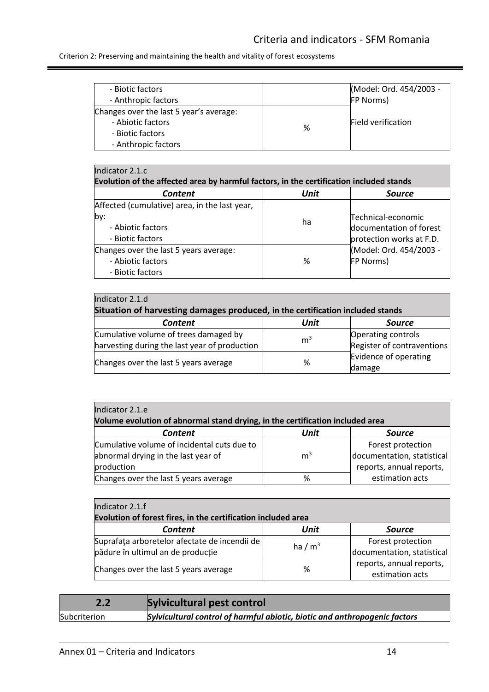Ξ

Criterion 2: Preserving and maintaining the health and vitality of forest ecosystems

| - Biotic factors<br>- Anthropic factors                                                                 |   | (Model: Ord. 454/2003 -<br><b>FP Norms)</b> |
|---------------------------------------------------------------------------------------------------------|---|---------------------------------------------|
| Changes over the last 5 year's average:<br>- Abiotic factors<br>- Biotic factors<br>- Anthropic factors | % | <b>Field verification</b>                   |

### $Indicate 2.1$

| lindicator 2.1.C                                                                        |      |                          |  |
|-----------------------------------------------------------------------------------------|------|--------------------------|--|
| Evolution of the affected area by harmful factors, in the certification included stands |      |                          |  |
| <b>Content</b>                                                                          | Unit | <b>Source</b>            |  |
| Affected (cumulative) area, in the last year,                                           |      |                          |  |
| by:                                                                                     | ha   | Technical-economic       |  |
| - Abiotic factors                                                                       |      | documentation of forest  |  |
| - Biotic factors                                                                        |      | protection works at F.D. |  |
| Changes over the last 5 years average:                                                  |      | (Model: Ord. 454/2003 -  |  |
| - Abiotic factors                                                                       | %    | <b>FP Norms)</b>         |  |
| - Biotic factors                                                                        |      |                          |  |

| Indicator 2.1.d                                                                |                |                            |
|--------------------------------------------------------------------------------|----------------|----------------------------|
| Situation of harvesting damages produced, in the certification included stands |                |                            |
| Content                                                                        | Unit           | <b>Source</b>              |
| Cumulative volume of trees damaged by                                          | m <sup>3</sup> | <b>Operating controls</b>  |
| harvesting during the last year of production                                  |                | Register of contraventions |
| Changes over the last 5 years average                                          | %              | Evidence of operating      |
|                                                                                |                | damage                     |

| Indicator 2.1.e                                                               |                |                            |
|-------------------------------------------------------------------------------|----------------|----------------------------|
| Volume evolution of abnormal stand drying, in the certification included area |                |                            |
| <b>Content</b>                                                                | Unit           | <b>Source</b>              |
| Cumulative volume of incidental cuts due to                                   |                | Forest protection          |
| abnormal drying in the last year of                                           | m <sup>3</sup> | documentation, statistical |
| production                                                                    |                | reports, annual reports,   |
| Changes over the last 5 years average                                         | %              | estimation acts            |

| Indicator 2.1.f                                                                    |           |                                                 |
|------------------------------------------------------------------------------------|-----------|-------------------------------------------------|
| Evolution of forest fires, in the certification included area                      |           |                                                 |
| <b>Content</b>                                                                     | Unit      | <b>Source</b>                                   |
| Suprafața arboretelor afectate de incendii de<br>pădure în ultimul an de producție | ha / $m3$ | Forest protection<br>documentation, statistical |
| Changes over the last 5 years average                                              | %         | reports, annual reports,<br>estimation acts     |

<span id="page-13-0"></span>

| 2.2          | Sylvicultural pest control                                                 |
|--------------|----------------------------------------------------------------------------|
| Subcriterion | Sylvicultural control of harmful abiotic, biotic and anthropogenic factors |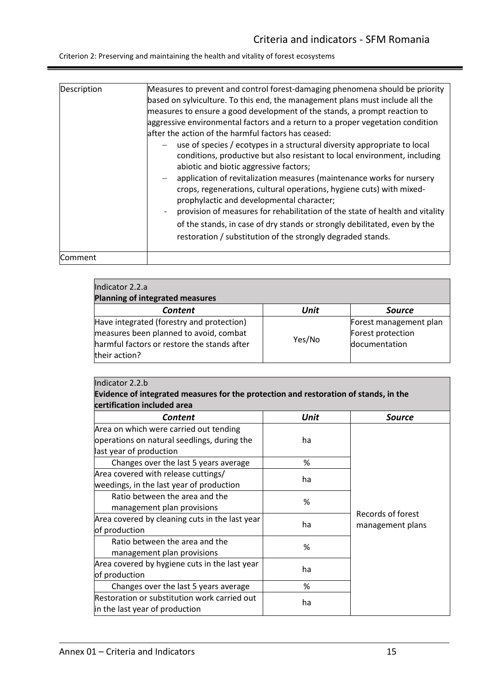Criterion 2: Preserving and maintaining the health and vitality of forest ecosystems

| Description    | Measures to prevent and control forest-damaging phenomena should be priority                                                                                                               |
|----------------|--------------------------------------------------------------------------------------------------------------------------------------------------------------------------------------------|
|                |                                                                                                                                                                                            |
|                | based on sylviculture. To this end, the management plans must include all the                                                                                                              |
|                | measures to ensure a good development of the stands, a prompt reaction to                                                                                                                  |
|                | aggressive environmental factors and a return to a proper vegetation condition                                                                                                             |
|                | lafter the action of the harmful factors has ceased:                                                                                                                                       |
|                | use of species / ecotypes in a structural diversity appropriate to local                                                                                                                   |
|                | conditions, productive but also resistant to local environment, including<br>abiotic and biotic aggressive factors;                                                                        |
|                | application of revitalization measures (maintenance works for nursery<br>crops, regenerations, cultural operations, hygiene cuts) with mixed-<br>prophylactic and developmental character; |
|                | provision of measures for rehabilitation of the state of health and vitality<br>of the stands, in case of dry stands or strongly debilitated, even by the                                  |
|                | restoration / substitution of the strongly degraded stands.                                                                                                                                |
| <b>Comment</b> |                                                                                                                                                                                            |

| Indicator 2.2.a                                                                                                                                     |        |                                                              |
|-----------------------------------------------------------------------------------------------------------------------------------------------------|--------|--------------------------------------------------------------|
| <b>Planning of integrated measures</b><br>Content                                                                                                   | Unit   | <b>Source</b>                                                |
| Have integrated (forestry and protection)<br>measures been planned to avoid, combat<br>harmful factors or restore the stands after<br>their action? | Yes/No | Forest management plan<br>Forest protection<br>documentation |

| Indicator 2.2.b                                                                      |      |                   |
|--------------------------------------------------------------------------------------|------|-------------------|
| Evidence of integrated measures for the protection and restoration of stands, in the |      |                   |
| certification included area                                                          |      |                   |
| <b>Content</b>                                                                       | Unit | <b>Source</b>     |
| Area on which were carried out tending                                               |      |                   |
| operations on natural seedlings, during the                                          | ha   |                   |
| last year of production                                                              |      |                   |
| Changes over the last 5 years average                                                | %    |                   |
| Area covered with release cuttings/                                                  | ha   |                   |
| weedings, in the last year of production                                             |      |                   |
| Ratio between the area and the                                                       |      |                   |
| management plan provisions                                                           | %    |                   |
| Area covered by cleaning cuts in the last year                                       | ha   | Records of forest |
| of production                                                                        |      | management plans  |
| Ratio between the area and the                                                       | %    |                   |
| management plan provisions                                                           |      |                   |
| Area covered by hygiene cuts in the last year                                        |      |                   |
| of production                                                                        | ha   |                   |
| Changes over the last 5 years average                                                | %    |                   |
| Restoration or substitution work carried out                                         | ha   |                   |
| in the last year of production                                                       |      |                   |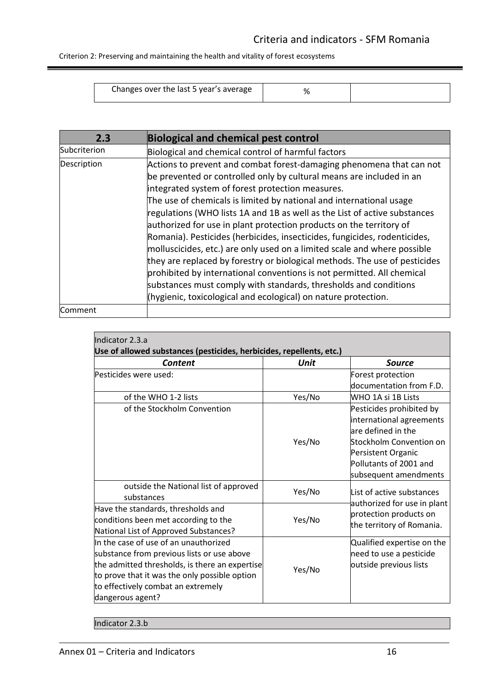Criterion 2: Preserving and maintaining the health and vitality of forest ecosystems

<span id="page-15-0"></span>

| Changes over the last 5 year's average |  |
|----------------------------------------|--|

| 2.3          | <b>Biological and chemical pest control</b>                                                                                                                                                                                                                                                                                                                                                                                                                                                                                                                                                                                                                                                                                                                                                                                                                                        |
|--------------|------------------------------------------------------------------------------------------------------------------------------------------------------------------------------------------------------------------------------------------------------------------------------------------------------------------------------------------------------------------------------------------------------------------------------------------------------------------------------------------------------------------------------------------------------------------------------------------------------------------------------------------------------------------------------------------------------------------------------------------------------------------------------------------------------------------------------------------------------------------------------------|
| Subcriterion | Biological and chemical control of harmful factors                                                                                                                                                                                                                                                                                                                                                                                                                                                                                                                                                                                                                                                                                                                                                                                                                                 |
| Description  | Actions to prevent and combat forest-damaging phenomena that can not<br>be prevented or controlled only by cultural means are included in an<br>integrated system of forest protection measures.<br>The use of chemicals is limited by national and international usage<br>regulations (WHO lists 1A and 1B as well as the List of active substances<br>authorized for use in plant protection products on the territory of<br>Romania). Pesticides (herbicides, insecticides, fungicides, rodenticides,<br>molluscicides, etc.) are only used on a limited scale and where possible<br>they are replaced by forestry or biological methods. The use of pesticides<br>prohibited by international conventions is not permitted. All chemical<br>substances must comply with standards, thresholds and conditions<br>(hygienic, toxicological and ecological) on nature protection. |
| lComment     |                                                                                                                                                                                                                                                                                                                                                                                                                                                                                                                                                                                                                                                                                                                                                                                                                                                                                    |

| Indicator 2.3.a<br>Use of allowed substances (pesticides, herbicides, repellents, etc.)                                                                                                                                                          |        |                                                                                                                                                                                |  |
|--------------------------------------------------------------------------------------------------------------------------------------------------------------------------------------------------------------------------------------------------|--------|--------------------------------------------------------------------------------------------------------------------------------------------------------------------------------|--|
| Content                                                                                                                                                                                                                                          | Unit   | <b>Source</b>                                                                                                                                                                  |  |
| Pesticides were used:                                                                                                                                                                                                                            |        | Forest protection<br>documentation from F.D.                                                                                                                                   |  |
| of the WHO 1-2 lists                                                                                                                                                                                                                             | Yes/No | lWHO 1A si 1B Lists                                                                                                                                                            |  |
| of the Stockholm Convention                                                                                                                                                                                                                      | Yes/No | Pesticides prohibited by<br>international agreements<br>are defined in the<br>Stockholm Convention on<br>Persistent Organic<br>Pollutants of 2001 and<br>subsequent amendments |  |
| outside the National list of approved<br>substances                                                                                                                                                                                              | Yes/No | List of active substances                                                                                                                                                      |  |
| Have the standards, thresholds and<br>conditions been met according to the<br>National List of Approved Substances?                                                                                                                              | Yes/No | authorized for use in plant<br>protection products on<br>the territory of Romania.                                                                                             |  |
| In the case of use of an unauthorized<br>substance from previous lists or use above<br>the admitted thresholds, is there an expertise<br>to prove that it was the only possible option<br>to effectively combat an extremely<br>dangerous agent? | Yes/No | Qualified expertise on the<br>need to use a pesticide<br>outside previous lists                                                                                                |  |

Indicator 2.3.b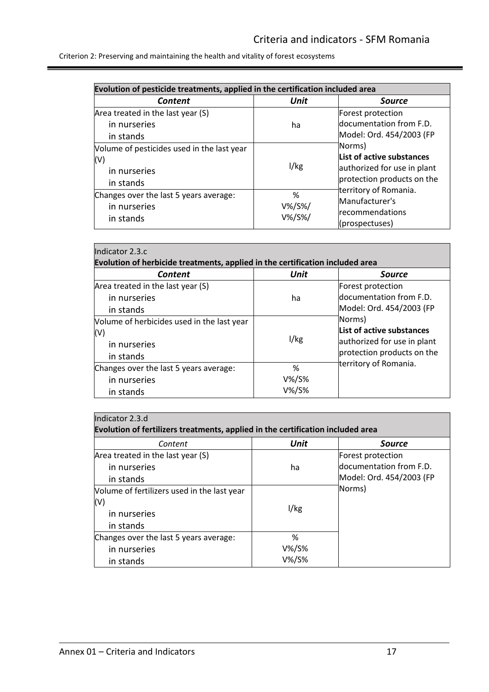ı

| Evolution of pesticide treatments, applied in the certification included area |                             |                            |
|-------------------------------------------------------------------------------|-----------------------------|----------------------------|
| Content                                                                       | Unit                        | Source                     |
| Area treated in the last year (S)                                             |                             | Forest protection          |
| in nurseries                                                                  | ha                          | documentation from F.D.    |
| in stands                                                                     |                             | Model: Ord. 454/2003 (FP   |
| Volume of pesticides used in the last year                                    |                             | Norms)                     |
| (V)                                                                           |                             | List of active substances  |
| 1/kg<br>in nurseries                                                          | authorized for use in plant |                            |
| in stands                                                                     |                             | protection products on the |
| Changes over the last 5 years average:                                        | %                           | territory of Romania.      |
| in nurseries                                                                  | $V\%$ /S%/                  | Manufacturer's             |
| in stands                                                                     | $V\%$ /S%/                  | recommendations            |
|                                                                               |                             | (prospectuses)             |

| Indicator 2.3.c                                                               |           |                             |
|-------------------------------------------------------------------------------|-----------|-----------------------------|
| Evolution of herbicide treatments, applied in the certification included area |           |                             |
| Content                                                                       | Unit      | <b>Source</b>               |
| Area treated in the last year (S)                                             |           | Forest protection           |
| in nurseries                                                                  | ha        | ldocumentation from F.D.    |
| in stands                                                                     |           | Model: Ord. 454/2003 (FP    |
| Volume of herbicides used in the last year                                    |           | Norms)                      |
| (V)                                                                           |           | List of active substances   |
| in nurseries                                                                  | 1/kg      | authorized for use in plant |
| in stands                                                                     |           | protection products on the  |
| Changes over the last 5 years average:                                        | %         | territory of Romania.       |
| in nurseries                                                                  | $V\%$ /S% |                             |
| in stands                                                                     | V%/S%     |                             |

| Indicator 2.3.d<br>Evolution of fertilizers treatments, applied in the certification included area |                     |                          |
|----------------------------------------------------------------------------------------------------|---------------------|--------------------------|
| Content                                                                                            | Unit                | <b>Source</b>            |
| Area treated in the last year (S)                                                                  |                     | Forest protection        |
| in nurseries                                                                                       | ha                  | documentation from F.D.  |
| in stands                                                                                          |                     | Model: Ord. 454/2003 (FP |
| Volume of fertilizers used in the last year                                                        |                     | Norms)                   |
| (V)<br>in nurseries<br>in stands                                                                   | 1/kg                |                          |
| Changes over the last 5 years average:<br>in nurseries<br>in stands                                | %<br>V%/S%<br>V%/S% |                          |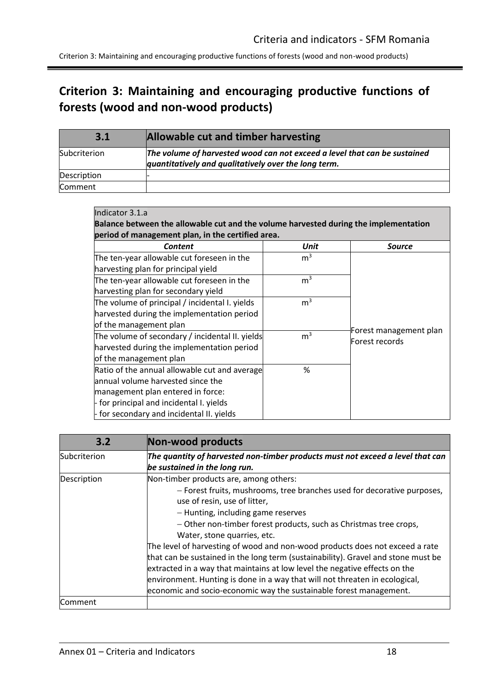Criterion 3: Maintaining and encouraging productive functions of forests (wood and non-wood products)

# <span id="page-17-0"></span>**Criterion 3: Maintaining and encouraging productive functions of forests (wood and non-wood products)**

<span id="page-17-1"></span>

| 3.1            | Allowable cut and timber harvesting                                                                                               |
|----------------|-----------------------------------------------------------------------------------------------------------------------------------|
| Subcriterion   | The volume of harvested wood can not exceed a level that can be sustained<br>quantitatively and qualitatively over the long term. |
| Description    |                                                                                                                                   |
| <b>Comment</b> |                                                                                                                                   |

| Indicator 3.1.a                                                                      |
|--------------------------------------------------------------------------------------|
| Balance between the allowable cut and the volume harvested during the implementation |
| period of management plan, in the certified area.                                    |

| <b>Content</b>                                  | Unit           | Source                                   |
|-------------------------------------------------|----------------|------------------------------------------|
| The ten-year allowable cut foreseen in the      | m <sup>3</sup> |                                          |
| harvesting plan for principal yield             |                |                                          |
| The ten-year allowable cut foreseen in the      | m <sup>3</sup> |                                          |
| harvesting plan for secondary yield             |                |                                          |
| The volume of principal / incidental I. yields  | m <sup>3</sup> |                                          |
| harvested during the implementation period      |                |                                          |
| of the management plan                          |                |                                          |
| The volume of secondary / incidental II. yields | m <sup>3</sup> | Forest management plan<br>Forest records |
| harvested during the implementation period      |                |                                          |
| of the management plan                          |                |                                          |
| Ratio of the annual allowable cut and average   | %              |                                          |
| lannual volume harvested since the              |                |                                          |
| management plan entered in force:               |                |                                          |
| - for principal and incidental I. yields        |                |                                          |
| - for secondary and incidental II. yields       |                |                                          |

<span id="page-17-2"></span>

| 3.2            | Non-wood products                                                                                                                                                                                                                                                                                                                                                                                                                                                                                                                                                                                                                                                                                   |
|----------------|-----------------------------------------------------------------------------------------------------------------------------------------------------------------------------------------------------------------------------------------------------------------------------------------------------------------------------------------------------------------------------------------------------------------------------------------------------------------------------------------------------------------------------------------------------------------------------------------------------------------------------------------------------------------------------------------------------|
| Subcriterion   | The quantity of harvested non-timber products must not exceed a level that can<br>be sustained in the long run.                                                                                                                                                                                                                                                                                                                                                                                                                                                                                                                                                                                     |
| Description    | Non-timber products are, among others:<br>- Forest fruits, mushrooms, tree branches used for decorative purposes,<br>use of resin, use of litter,<br>- Hunting, including game reserves<br>- Other non-timber forest products, such as Christmas tree crops,<br>Water, stone quarries, etc.<br>The level of harvesting of wood and non-wood products does not exceed a rate<br>that can be sustained in the long term (sustainability). Gravel and stone must be<br>extracted in a way that maintains at low level the negative effects on the<br>environment. Hunting is done in a way that will not threaten in ecological,<br>economic and socio-economic way the sustainable forest management. |
| <b>Comment</b> |                                                                                                                                                                                                                                                                                                                                                                                                                                                                                                                                                                                                                                                                                                     |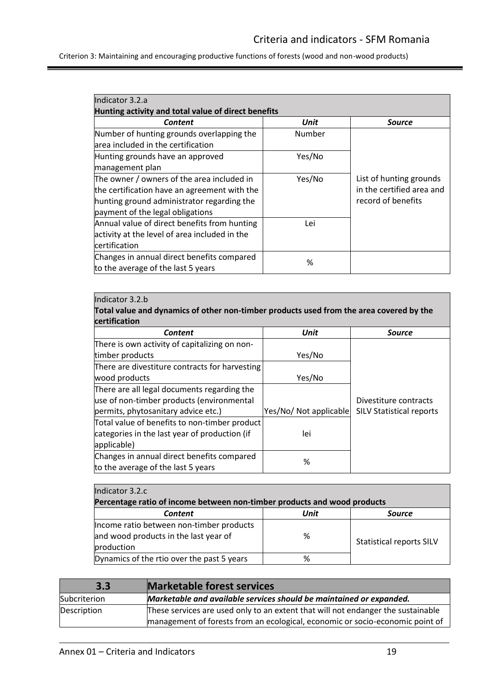Criterion 3: Maintaining and encouraging productive functions of forests (wood and non-wood products)

| Indicator 3.2.a                                     |        |                           |
|-----------------------------------------------------|--------|---------------------------|
| Hunting activity and total value of direct benefits |        |                           |
| Content                                             | Unit   | <b>Source</b>             |
| Number of hunting grounds overlapping the           | Number |                           |
| larea included in the certification                 |        |                           |
| Hunting grounds have an approved                    | Yes/No |                           |
| management plan                                     |        |                           |
| The owner / owners of the area included in          | Yes/No | List of hunting grounds   |
| the certification have an agreement with the        |        | in the certified area and |
| hunting ground administrator regarding the          |        | record of benefits        |
| payment of the legal obligations                    |        |                           |
| Annual value of direct benefits from hunting        | Lei    |                           |
| activity at the level of area included in the       |        |                           |
| certification                                       |        |                           |
| Changes in annual direct benefits compared          | %      |                           |
| to the average of the last 5 years                  |        |                           |

#### Indicator 3.2.b

**Total value and dynamics of other non-timber products used from the area covered by the certification**

| <b>Content</b>                                 | Unit                   | <b>Source</b>                   |
|------------------------------------------------|------------------------|---------------------------------|
| There is own activity of capitalizing on non-  |                        |                                 |
| timber products                                | Yes/No                 |                                 |
| There are divestiture contracts for harvesting |                        |                                 |
| wood products                                  | Yes/No                 |                                 |
| There are all legal documents regarding the    |                        |                                 |
| use of non-timber products (environmental      |                        | Divestiture contracts           |
| permits, phytosanitary advice etc.)            | Yes/No/ Not applicable | <b>SILV Statistical reports</b> |
| Total value of benefits to non-timber product  |                        |                                 |
| categories in the last year of production (if  | lei                    |                                 |
| applicable)                                    |                        |                                 |
| Changes in annual direct benefits compared     | %                      |                                 |
| to the average of the last 5 years             |                        |                                 |

### Indicator 3.2.c

| Percentage ratio of income between non-timber products and wood products                        |   |                                 |  |
|-------------------------------------------------------------------------------------------------|---|---------------------------------|--|
| Unit<br><b>Content</b><br><b>Source</b>                                                         |   |                                 |  |
| Income ratio between non-timber products<br>and wood products in the last year of<br>production | % | <b>Statistical reports SILV</b> |  |
| Dynamics of the rtio over the past 5 years                                                      | % |                                 |  |

<span id="page-18-0"></span>

| 3.3          | <b>Marketable forest services</b>                                                                                                                                 |
|--------------|-------------------------------------------------------------------------------------------------------------------------------------------------------------------|
| Subcriterion | Marketable and available services should be maintained or expanded.                                                                                               |
| Description  | These services are used only to an extent that will not endanger the sustainable<br>management of forests from an ecological, economic or socio-economic point of |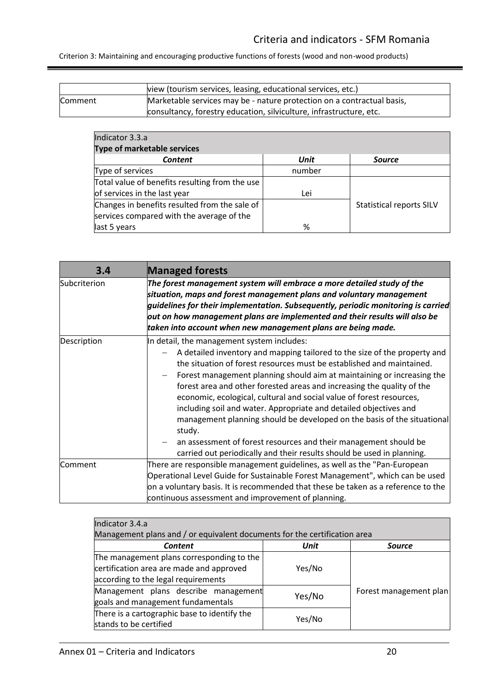Criterion 3: Maintaining and encouraging productive functions of forests (wood and non-wood products)

|         | view (tourism services, leasing, educational services, etc.)           |
|---------|------------------------------------------------------------------------|
| Comment | Marketable services may be - nature protection on a contractual basis, |
|         | consultancy, forestry education, silviculture, infrastructure, etc.    |

| Indicator 3.3.a                                |        |                                 |
|------------------------------------------------|--------|---------------------------------|
| Type of marketable services                    |        |                                 |
| <b>Content</b>                                 | Unit   | <b>Source</b>                   |
| Type of services                               | number |                                 |
| Total value of benefits resulting from the use |        |                                 |
| of services in the last year                   | Lei    |                                 |
| Changes in benefits resulted from the sale of  |        | <b>Statistical reports SILV</b> |
| services compared with the average of the      |        |                                 |
| last 5 years                                   | %      |                                 |

<span id="page-19-0"></span>

| 3.4          | <b>Managed forests</b>                                                                                                                                                                                                                                                                                                                                                                                                                                                                                                                                                                                                                                                                                                               |
|--------------|--------------------------------------------------------------------------------------------------------------------------------------------------------------------------------------------------------------------------------------------------------------------------------------------------------------------------------------------------------------------------------------------------------------------------------------------------------------------------------------------------------------------------------------------------------------------------------------------------------------------------------------------------------------------------------------------------------------------------------------|
| Subcriterion | The forest management system will embrace a more detailed study of the<br>$\mathsf{s}$ ituation, maps and forest management plans and voluntary management<br>guidelines for their implementation. Subsequently, periodic monitoring is carried $\mid$<br>$\bm{{\mathsf{out}}}$ on how management plans are implemented and their results will also be<br>taken into account when new management plans are being made.                                                                                                                                                                                                                                                                                                               |
| Description  | In detail, the management system includes:<br>A detailed inventory and mapping tailored to the size of the property and<br>the situation of forest resources must be established and maintained.<br>Forest management planning should aim at maintaining or increasing the<br>forest area and other forested areas and increasing the quality of the<br>economic, ecological, cultural and social value of forest resources,<br>including soil and water. Appropriate and detailed objectives and<br>management planning should be developed on the basis of the situational<br>study.<br>an assessment of forest resources and their management should be<br>carried out periodically and their results should be used in planning. |
| Comment      | There are responsible management guidelines, as well as the "Pan-European<br>Operational Level Guide for Sustainable Forest Management", which can be used<br>on a voluntary basis. It is recommended that these be taken as a reference to the<br>continuous assessment and improvement of planning.                                                                                                                                                                                                                                                                                                                                                                                                                                |

| Indicator 3.4.a                                                                                                              |        |                        |
|------------------------------------------------------------------------------------------------------------------------------|--------|------------------------|
| Management plans and / or equivalent documents for the certification area                                                    |        |                        |
| Content                                                                                                                      | Unit   | Source                 |
| The management plans corresponding to the<br>certification area are made and approved<br>according to the legal requirements | Yes/No |                        |
| Management plans describe management<br>goals and management fundamentals                                                    | Yes/No | Forest management plan |
| There is a cartographic base to identify the<br>stands to be certified                                                       | Yes/No |                        |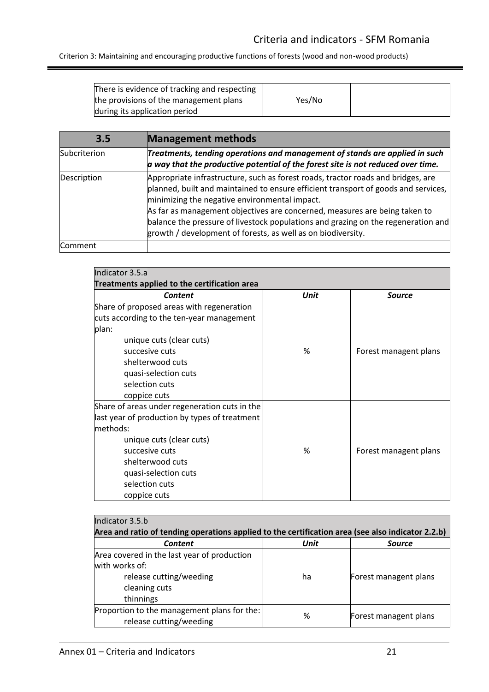Criterion 3: Maintaining and encouraging productive functions of forests (wood and non-wood products)

<span id="page-20-0"></span>

| There is evidence of tracking and respecting |        |  |
|----------------------------------------------|--------|--|
| the provisions of the management plans       | Yes/No |  |
| during its application period                |        |  |

| 3.5          | <b>Management methods</b>                                                                                                                                                                                                                                                                                                                                                                                                                                  |
|--------------|------------------------------------------------------------------------------------------------------------------------------------------------------------------------------------------------------------------------------------------------------------------------------------------------------------------------------------------------------------------------------------------------------------------------------------------------------------|
| Subcriterion | Treatments, tending operations and management of stands are applied in such<br>a way that the productive potential of the forest site is not reduced over time.                                                                                                                                                                                                                                                                                            |
| Description  | Appropriate infrastructure, such as forest roads, tractor roads and bridges, are<br>planned, built and maintained to ensure efficient transport of goods and services,<br>minimizing the negative environmental impact.<br>As far as management objectives are concerned, measures are being taken to<br>balance the pressure of livestock populations and grazing on the regeneration and<br>growth / development of forests, as well as on biodiversity. |
| Comment      |                                                                                                                                                                                                                                                                                                                                                                                                                                                            |

| Indicator 3.5.a                               |      |                       |
|-----------------------------------------------|------|-----------------------|
| Treatments applied to the certification area  |      |                       |
| Content                                       | Unit | <b>Source</b>         |
| Share of proposed areas with regeneration     |      |                       |
| cuts according to the ten-year management     |      |                       |
| plan:                                         |      |                       |
| unique cuts (clear cuts)                      |      |                       |
| succesive cuts                                | %    | Forest managent plans |
| shelterwood cuts                              |      |                       |
| quasi-selection cuts                          |      |                       |
| selection cuts                                |      |                       |
| coppice cuts                                  |      |                       |
| Share of areas under regeneration cuts in the |      |                       |
| last year of production by types of treatment |      |                       |
| lmethods:                                     |      |                       |
| unique cuts (clear cuts)                      |      |                       |
| succesive cuts                                | %    | Forest managent plans |
| shelterwood cuts                              |      |                       |
| quasi-selection cuts                          |      |                       |
| selection cuts                                |      |                       |
| coppice cuts                                  |      |                       |

| Indicator 3.5.b                             |                                                                                                   |                       |  |
|---------------------------------------------|---------------------------------------------------------------------------------------------------|-----------------------|--|
|                                             | Area and ratio of tending operations applied to the certification area (see also indicator 2.2.b) |                       |  |
| <b>Content</b>                              | Unit                                                                                              | <b>Source</b>         |  |
| Area covered in the last year of production |                                                                                                   |                       |  |
| with works of:                              |                                                                                                   |                       |  |
| release cutting/weeding                     | ha                                                                                                | Forest managent plans |  |
| cleaning cuts                               |                                                                                                   |                       |  |
| thinnings                                   |                                                                                                   |                       |  |
| Proportion to the management plans for the: | %                                                                                                 | Forest managent plans |  |
| release cutting/weeding                     |                                                                                                   |                       |  |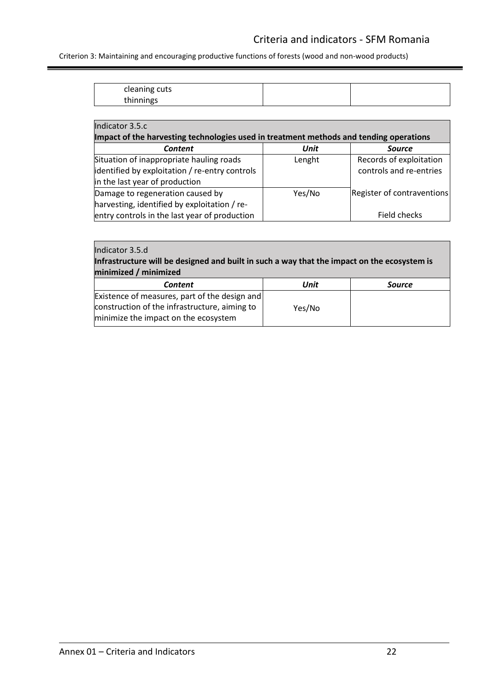Criterion 3: Maintaining and encouraging productive functions of forests (wood and non-wood products)

| cleaning cuts |  |
|---------------|--|
| thinnings     |  |

| Indicator 3.5.c                                                                                                              |             |                                                    |
|------------------------------------------------------------------------------------------------------------------------------|-------------|----------------------------------------------------|
| Impact of the harvesting technologies used in treatment methods and tending operations                                       |             |                                                    |
| Content                                                                                                                      | <b>Unit</b> | <b>Source</b>                                      |
| Situation of inappropriate hauling roads<br>identified by exploitation / re-entry controls<br>in the last year of production | Lenght      | Records of exploitation<br>controls and re-entries |
| Damage to regeneration caused by<br>harvesting, identified by exploitation / re-                                             | Yes/No      | Register of contraventions                         |
| entry controls in the last year of production                                                                                |             | Field checks                                       |

## Indicator 3.5.d **Infrastructure will be designed and built in such a way that the impact on the ecosystem is minimized / minimized**

| Unit                                          | Source |
|-----------------------------------------------|--------|
| Existence of measures, part of the design and |        |
| Yes/No                                        |        |
|                                               |        |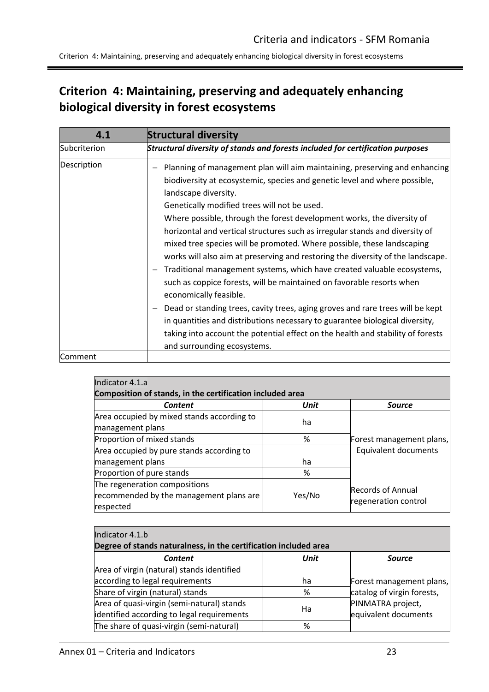Criterion 4: Maintaining, preserving and adequately enhancing biological diversity in forest ecosystems

# <span id="page-22-0"></span>**Criterion 4: Maintaining, preserving and adequately enhancing biological diversity in forest ecosystems**

<span id="page-22-1"></span>

| 4.1          | <b>Structural diversity</b>                                                                                                                                                                                                                                                                                                                                                                                                                                                                                                                                                                                                                                                                                                                                                                                                                                                                                                                                                                                               |
|--------------|---------------------------------------------------------------------------------------------------------------------------------------------------------------------------------------------------------------------------------------------------------------------------------------------------------------------------------------------------------------------------------------------------------------------------------------------------------------------------------------------------------------------------------------------------------------------------------------------------------------------------------------------------------------------------------------------------------------------------------------------------------------------------------------------------------------------------------------------------------------------------------------------------------------------------------------------------------------------------------------------------------------------------|
| Subcriterion | Structural diversity of stands and forests included for certification purposes                                                                                                                                                                                                                                                                                                                                                                                                                                                                                                                                                                                                                                                                                                                                                                                                                                                                                                                                            |
| Description  | Planning of management plan will aim maintaining, preserving and enhancing<br>biodiversity at ecosystemic, species and genetic level and where possible,<br>landscape diversity.<br>Genetically modified trees will not be used.<br>Where possible, through the forest development works, the diversity of<br>horizontal and vertical structures such as irregular stands and diversity of<br>mixed tree species will be promoted. Where possible, these landscaping<br>works will also aim at preserving and restoring the diversity of the landscape.<br>Traditional management systems, which have created valuable ecosystems,<br>such as coppice forests, will be maintained on favorable resorts when<br>economically feasible.<br>Dead or standing trees, cavity trees, aging groves and rare trees will be kept<br>in quantities and distributions necessary to guarantee biological diversity,<br>taking into account the potential effect on the health and stability of forests<br>and surrounding ecosystems. |
| Comment      |                                                                                                                                                                                                                                                                                                                                                                                                                                                                                                                                                                                                                                                                                                                                                                                                                                                                                                                                                                                                                           |

| Indicator 4.1.a                                                                       |             |                                                  |
|---------------------------------------------------------------------------------------|-------------|--------------------------------------------------|
| Composition of stands, in the certification included area                             |             |                                                  |
| Content                                                                               | <b>Unit</b> | <b>Source</b>                                    |
| Area occupied by mixed stands according to<br>management plans                        | ha          |                                                  |
| Proportion of mixed stands                                                            | %           | Forest management plans,                         |
| Area occupied by pure stands according to                                             |             | Equivalent documents                             |
| management plans                                                                      | ha          |                                                  |
| Proportion of pure stands                                                             | %           |                                                  |
| The regeneration compositions<br>recommended by the management plans are<br>respected | Yes/No      | <b>Records of Annual</b><br>regeneration control |

| Indicator 4.1.b                                                  |      |                            |
|------------------------------------------------------------------|------|----------------------------|
| Degree of stands naturalness, in the certification included area |      |                            |
| <b>Content</b>                                                   | Unit | <b>Source</b>              |
| Area of virgin (natural) stands identified                       |      |                            |
| according to legal requirements                                  | ha   | Forest management plans,   |
| Share of virgin (natural) stands                                 | %    | catalog of virgin forests, |
| Area of quasi-virgin (semi-natural) stands                       | Ha   | PINMATRA project,          |
| identified according to legal requirements                       |      | equivalent documents       |
| The share of quasi-virgin (semi-natural)                         | %    |                            |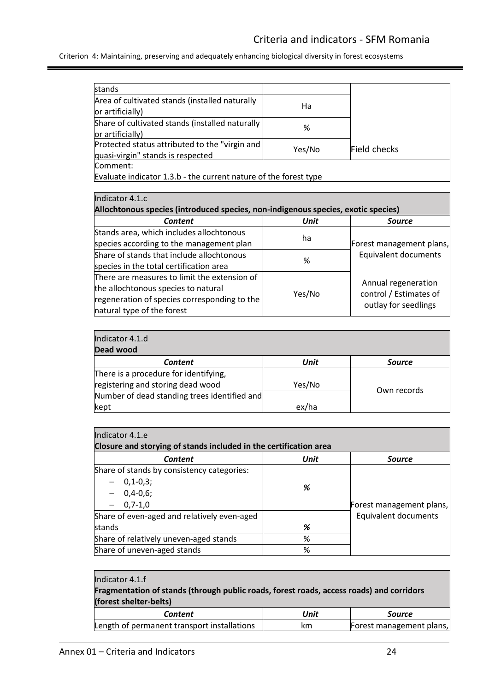Criterion 4: Maintaining, preserving and adequately enhancing biological diversity in forest ecosystems

| <b>stands</b>                                                                       |        |              |
|-------------------------------------------------------------------------------------|--------|--------------|
| Area of cultivated stands (installed naturally<br>or artificially)                  | Ha     |              |
| Share of cultivated stands (installed naturally<br>or artificially)                 | %      |              |
| Protected status attributed to the "virgin and<br>quasi-virgin" stands is respected | Yes/No | Field checks |
| Comment:<br>Evaluate indicator 1,3 h - the current nature of the forest type        |        |              |

Evaluate indicator 1.3.b - the current nature of the forest type

| Indicator 4.1.c                                                                   |        |                                                  |
|-----------------------------------------------------------------------------------|--------|--------------------------------------------------|
| Allochtonous species (introduced species, non-indigenous species, exotic species) |        |                                                  |
| <b>Content</b>                                                                    | Unit   | <b>Source</b>                                    |
| Stands area, which includes allochtonous                                          | ha     | Forest management plans,<br>Equivalent documents |
| species according to the management plan                                          |        |                                                  |
| Share of stands that include allochtonous                                         | %      |                                                  |
| species in the total certification area                                           |        |                                                  |
| There are measures to limit the extension of                                      |        |                                                  |
| the allochtonous species to natural                                               | Yes/No | Annual regeneration<br>control / Estimates of    |
| regeneration of species corresponding to the                                      |        |                                                  |
| natural type of the forest                                                        |        | outlay for seedlings                             |

| Indicator 4.1.d<br>Dead wood                 |        |               |
|----------------------------------------------|--------|---------------|
| <b>Content</b>                               | Unit   | <b>Source</b> |
| There is a procedure for identifying,        |        |               |
| registering and storing dead wood            | Yes/No | Own records   |
| Number of dead standing trees identified and |        |               |
| kept                                         | ex/ha  |               |

| Indicator 4.1.e                                                   |      |                          |
|-------------------------------------------------------------------|------|--------------------------|
| Closure and storying of stands included in the certification area |      |                          |
| <b>Content</b>                                                    | Unit | <b>Source</b>            |
| Share of stands by consistency categories:                        |      |                          |
| $-0,1-0,3;$                                                       | %    |                          |
| $-0,4-0,6;$                                                       |      |                          |
| $-0,7-1,0$                                                        |      | Forest management plans, |
| Share of even-aged and relatively even-aged                       |      | Equivalent documents     |
| stands                                                            | %    |                          |
| Share of relatively uneven-aged stands                            | %    |                          |
| Share of uneven-aged stands                                       | %    |                          |

#### Indicator 4.1.f

**Fragmentation of stands (through public roads, forest roads, access roads) and corridors (forest shelter-belts)**

| Content                                     | Unit | Source                   |
|---------------------------------------------|------|--------------------------|
| Length of permanent transport installations | km   | Forest management plans, |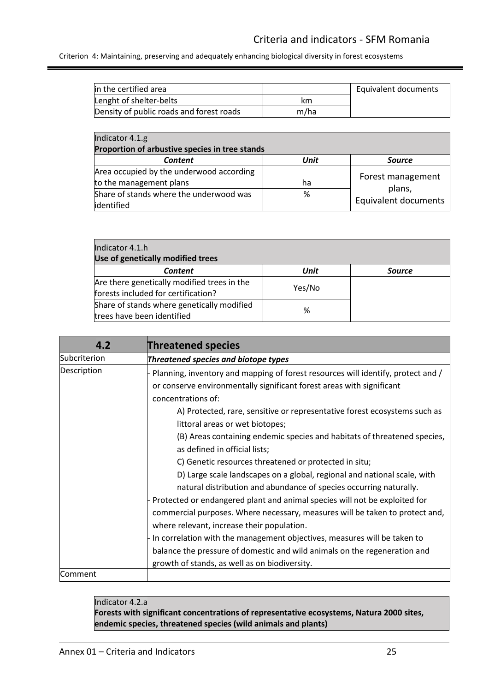Criterion 4: Maintaining, preserving and adequately enhancing biological diversity in forest ecosystems

| lin the certified area                   |      | Equivalent documents |
|------------------------------------------|------|----------------------|
| Lenght of shelter-belts                  | km   |                      |
| Density of public roads and forest roads | m/ha |                      |

| Indicator 4.1.g<br>Proportion of arbustive species in tree stands   |      |                                |
|---------------------------------------------------------------------|------|--------------------------------|
| Content                                                             | Unit | <b>Source</b>                  |
| Area occupied by the underwood according<br>to the management plans | ha   | Forest management              |
| Share of stands where the underwood was<br>identified               | %    | plans,<br>Equivalent documents |

| Indicator 4.1.h<br>Use of genetically modified trees                               |        |               |
|------------------------------------------------------------------------------------|--------|---------------|
| <b>Content</b>                                                                     | Unit   | <b>Source</b> |
| Are there genetically modified trees in the<br>forests included for certification? | Yes/No |               |
| Share of stands where genetically modified<br>trees have been identified           | %      |               |

<span id="page-24-0"></span>

| 4.2          | <b>Threatened species</b>                                                                                                                                                                                                                                                                                                                                                                                                                                                                                                                                                                                                                                                                                                                                                                                                                                                                                                                                                                      |
|--------------|------------------------------------------------------------------------------------------------------------------------------------------------------------------------------------------------------------------------------------------------------------------------------------------------------------------------------------------------------------------------------------------------------------------------------------------------------------------------------------------------------------------------------------------------------------------------------------------------------------------------------------------------------------------------------------------------------------------------------------------------------------------------------------------------------------------------------------------------------------------------------------------------------------------------------------------------------------------------------------------------|
| Subcriterion | Threatened species and biotope types                                                                                                                                                                                                                                                                                                                                                                                                                                                                                                                                                                                                                                                                                                                                                                                                                                                                                                                                                           |
| Description  | Planning, inventory and mapping of forest resources will identify, protect and /<br>or conserve environmentally significant forest areas with significant<br>concentrations of:<br>A) Protected, rare, sensitive or representative forest ecosystems such as<br>littoral areas or wet biotopes;<br>(B) Areas containing endemic species and habitats of threatened species,<br>as defined in official lists;<br>C) Genetic resources threatened or protected in situ;<br>D) Large scale landscapes on a global, regional and national scale, with<br>natural distribution and abundance of species occurring naturally.<br>- Protected or endangered plant and animal species will not be exploited for<br>commercial purposes. Where necessary, measures will be taken to protect and,<br>where relevant, increase their population.<br>In correlation with the management objectives, measures will be taken to<br>balance the pressure of domestic and wild animals on the regeneration and |
|              | growth of stands, as well as on biodiversity.                                                                                                                                                                                                                                                                                                                                                                                                                                                                                                                                                                                                                                                                                                                                                                                                                                                                                                                                                  |
| lComment     |                                                                                                                                                                                                                                                                                                                                                                                                                                                                                                                                                                                                                                                                                                                                                                                                                                                                                                                                                                                                |

Indicator 4.2.a

**Forests with significant concentrations of representative ecosystems, Natura 2000 sites, endemic species, threatened species (wild animals and plants)**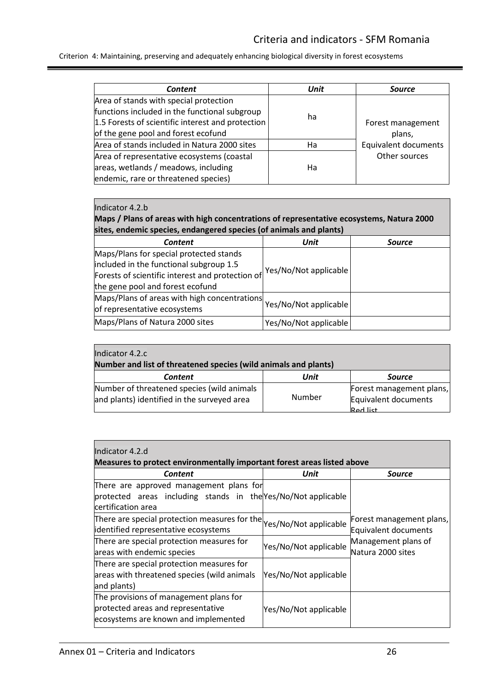Criterion 4: Maintaining, preserving and adequately enhancing biological diversity in forest ecosystems

| <b>Content</b>                                    | Unit | <b>Source</b>               |
|---------------------------------------------------|------|-----------------------------|
| Area of stands with special protection            |      |                             |
| functions included in the functional subgroup     |      |                             |
| 1.5 Forests of scientific interest and protection | ha   | Forest management           |
| of the gene pool and forest ecofund               |      | plans,                      |
| Area of stands included in Natura 2000 sites      | Ha   | <b>Equivalent documents</b> |
| Area of representative ecosystems (coastal        |      | Other sources               |
| areas, wetlands / meadows, including              | Ha   |                             |
| endemic, rare or threatened species)              |      |                             |

#### Indicator 4.2.b

**Maps / Plans of areas with high concentrations of representative ecosystems, Natura 2000 sites, endemic species, endangered species (of animals and plants)**

| <b>Content</b>                                   | <b>Unit</b>           | <b>Source</b> |
|--------------------------------------------------|-----------------------|---------------|
| Maps/Plans for special protected stands          |                       |               |
| included in the functional subgroup 1.5          | Yes/No/Not applicable |               |
| Forests of scientific interest and protection of |                       |               |
| the gene pool and forest ecofund                 |                       |               |
| Maps/Plans of areas with high concentrations     |                       |               |
| of representative ecosystems                     | Yes/No/Not applicable |               |
| Maps/Plans of Natura 2000 sites                  | Yes/No/Not applicable |               |

| Indicator 4.2.c                                                                                            |        |                                                                     |  |
|------------------------------------------------------------------------------------------------------------|--------|---------------------------------------------------------------------|--|
| Number and list of threatened species (wild animals and plants)<br>Unit<br><b>Content</b><br><b>Source</b> |        |                                                                     |  |
| Number of threatened species (wild animals<br>and plants) identified in the surveyed area                  | Number | Forest management plans,<br>Equivalent documents<br><b>Red list</b> |  |

| Indicator 4.2.d                                               |                                                                         |                                                                  |  |  |
|---------------------------------------------------------------|-------------------------------------------------------------------------|------------------------------------------------------------------|--|--|
|                                                               | Measures to protect environmentally important forest areas listed above |                                                                  |  |  |
| Content                                                       | Unit                                                                    | Source                                                           |  |  |
| There are approved management plans for                       |                                                                         |                                                                  |  |  |
| protected areas including stands in the Yes/No/Not applicable |                                                                         |                                                                  |  |  |
| certification area                                            |                                                                         |                                                                  |  |  |
| There are special protection measures for the                 |                                                                         | Forest management plans,                                         |  |  |
| identified representative ecosystems                          | Yes/No/Not applicable                                                   | Equivalent documents<br>Management plans of<br>Natura 2000 sites |  |  |
| There are special protection measures for                     |                                                                         |                                                                  |  |  |
| areas with endemic species                                    | Yes/No/Not applicable                                                   |                                                                  |  |  |
| There are special protection measures for                     |                                                                         |                                                                  |  |  |
| areas with threatened species (wild animals                   | Yes/No/Not applicable                                                   |                                                                  |  |  |
| and plants)                                                   |                                                                         |                                                                  |  |  |
| The provisions of management plans for                        |                                                                         |                                                                  |  |  |
| protected areas and representative                            | Yes/No/Not applicable                                                   |                                                                  |  |  |
| ecosystems are known and implemented                          |                                                                         |                                                                  |  |  |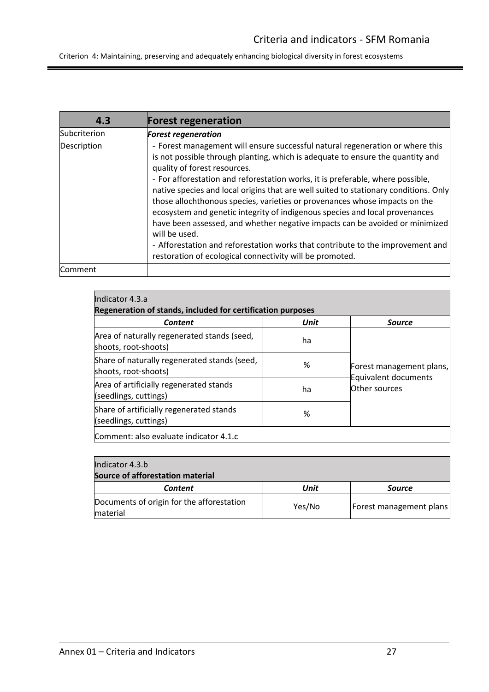Criterion 4: Maintaining, preserving and adequately enhancing biological diversity in forest ecosystems

<span id="page-26-0"></span>

| 4.3          | <b>Forest regeneration</b>                                                                                                                                                                                                                                                                                                                                                                                                                                                                                                                                                                                                                                                                                                                                                            |
|--------------|---------------------------------------------------------------------------------------------------------------------------------------------------------------------------------------------------------------------------------------------------------------------------------------------------------------------------------------------------------------------------------------------------------------------------------------------------------------------------------------------------------------------------------------------------------------------------------------------------------------------------------------------------------------------------------------------------------------------------------------------------------------------------------------|
| Subcriterion | <b>Forest regeneration</b>                                                                                                                                                                                                                                                                                                                                                                                                                                                                                                                                                                                                                                                                                                                                                            |
| Description  | - Forest management will ensure successful natural regeneration or where this<br>is not possible through planting, which is adequate to ensure the quantity and<br>quality of forest resources.<br>- For afforestation and reforestation works, it is preferable, where possible,<br>native species and local origins that are well suited to stationary conditions. Only<br>those allochthonous species, varieties or provenances whose impacts on the<br>ecosystem and genetic integrity of indigenous species and local provenances<br>have been assessed, and whether negative impacts can be avoided or minimized<br>will be used.<br>- Afforestation and reforestation works that contribute to the improvement and<br>restoration of ecological connectivity will be promoted. |
| Comment      |                                                                                                                                                                                                                                                                                                                                                                                                                                                                                                                                                                                                                                                                                                                                                                                       |

| Indicator 4.3.a<br>Regeneration of stands, included for certification purposes |             |                                                                    |
|--------------------------------------------------------------------------------|-------------|--------------------------------------------------------------------|
| Content                                                                        | <b>Unit</b> | <b>Source</b>                                                      |
| Area of naturally regenerated stands (seed,<br>shoots, root-shoots)            | ha          |                                                                    |
| Share of naturally regenerated stands (seed,<br>shoots, root-shoots)           | %           | Forest management plans,<br>Equivalent documents<br>lOther sources |
| Area of artificially regenerated stands<br>(seedlings, cuttings)               | ha          |                                                                    |
| Share of artificially regenerated stands<br>(seedlings, cuttings)              | %           |                                                                    |
| Comment: also evaluate indicator 4.1.c                                         |             |                                                                    |

| Indicator 4.3.b<br>Source of afforestation material   |        |                                |
|-------------------------------------------------------|--------|--------------------------------|
| Content                                               | Unit   | <b>Source</b>                  |
| Documents of origin for the afforestation<br>material | Yes/No | <b>Forest management plans</b> |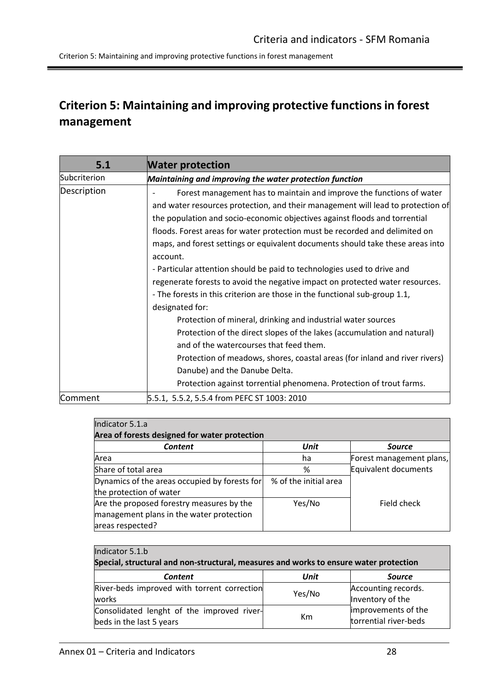<span id="page-27-0"></span>Criterion 5: Maintaining and improving protective functions in forest management

<span id="page-27-1"></span>

| 5.1          | <b>Water protection</b>                                                                                                                                                                                                                                                                                                                                                                                                                                                                                                                                                                                                                                                                                                                                                                                                                                                                                                                                                                                                                                     |
|--------------|-------------------------------------------------------------------------------------------------------------------------------------------------------------------------------------------------------------------------------------------------------------------------------------------------------------------------------------------------------------------------------------------------------------------------------------------------------------------------------------------------------------------------------------------------------------------------------------------------------------------------------------------------------------------------------------------------------------------------------------------------------------------------------------------------------------------------------------------------------------------------------------------------------------------------------------------------------------------------------------------------------------------------------------------------------------|
| Subcriterion | Maintaining and improving the water protection function                                                                                                                                                                                                                                                                                                                                                                                                                                                                                                                                                                                                                                                                                                                                                                                                                                                                                                                                                                                                     |
| Description  | Forest management has to maintain and improve the functions of water<br>and water resources protection, and their management will lead to protection of<br>the population and socio-economic objectives against floods and torrential<br>floods. Forest areas for water protection must be recorded and delimited on<br>maps, and forest settings or equivalent documents should take these areas into<br>account.<br>- Particular attention should be paid to technologies used to drive and<br>regenerate forests to avoid the negative impact on protected water resources.<br>- The forests in this criterion are those in the functional sub-group 1.1,<br>designated for:<br>Protection of mineral, drinking and industrial water sources<br>Protection of the direct slopes of the lakes (accumulation and natural)<br>and of the watercourses that feed them.<br>Protection of meadows, shores, coastal areas (for inland and river rivers)<br>Danube) and the Danube Delta.<br>Protection against torrential phenomena. Protection of trout farms. |
| Comment      | 5.5.1, 5.5.2, 5.5.4 from PEFC ST 1003: 2010                                                                                                                                                                                                                                                                                                                                                                                                                                                                                                                                                                                                                                                                                                                                                                                                                                                                                                                                                                                                                 |

| Indicator 5.1.a                               |                       |                          |
|-----------------------------------------------|-----------------------|--------------------------|
| Area of forests designed for water protection |                       |                          |
| <b>Content</b>                                | <b>Unit</b>           | <b>Source</b>            |
| Area                                          | ha                    | Forest management plans, |
| Share of total area                           | %                     | Equivalent documents     |
| Dynamics of the areas occupied by forests for | % of the initial area |                          |
| the protection of water                       |                       |                          |
| Are the proposed forestry measures by the     | Yes/No                | Field check              |
| management plans in the water protection      |                       |                          |
| areas respected?                              |                       |                          |

| Indicator 5.1.b<br>Special, structural and non-structural, measures and works to ensure water protection |        |                                              |
|----------------------------------------------------------------------------------------------------------|--------|----------------------------------------------|
| <b>Content</b>                                                                                           | Unit   | <b>Source</b>                                |
| River-beds improved with torrent correction<br>works                                                     | Yes/No | Accounting records.<br>Inventory of the      |
| Consolidated lenght of the improved river-<br>beds in the last 5 years                                   | Km     | improvements of the<br>torrential river-beds |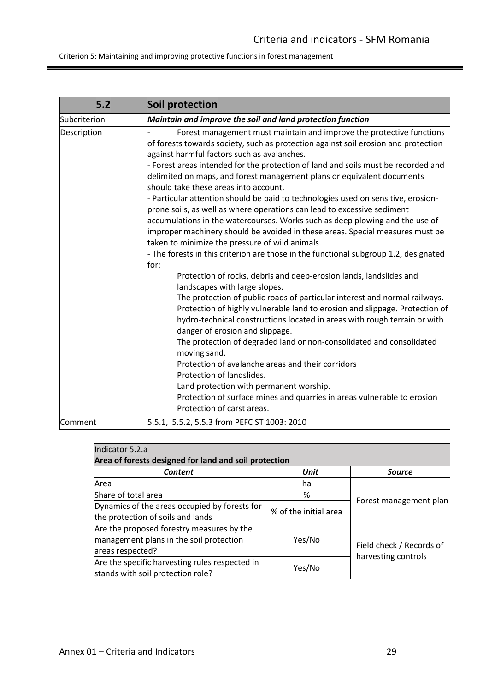<span id="page-28-0"></span>

| 5.2          | Soil protection                                                                                                                                                                                                                                                                                                                                                                                                                                                                  |
|--------------|----------------------------------------------------------------------------------------------------------------------------------------------------------------------------------------------------------------------------------------------------------------------------------------------------------------------------------------------------------------------------------------------------------------------------------------------------------------------------------|
| Subcriterion | Maintain and improve the soil and land protection function                                                                                                                                                                                                                                                                                                                                                                                                                       |
| Description  | Forest management must maintain and improve the protective functions<br>of forests towards society, such as protection against soil erosion and protection<br>against harmful factors such as avalanches.<br>- Forest areas intended for the protection of land and soils must be recorded and<br>delimited on maps, and forest management plans or equivalent documents<br>should take these areas into account.                                                                |
|              | - Particular attention should be paid to technologies used on sensitive, erosion-<br>prone soils, as well as where operations can lead to excessive sediment<br>accumulations in the watercourses. Works such as deep plowing and the use of<br>improper machinery should be avoided in these areas. Special measures must be<br>taken to minimize the pressure of wild animals.<br>- The forests in this criterion are those in the functional subgroup 1.2, designated<br>for: |
|              | Protection of rocks, debris and deep-erosion lands, landslides and<br>landscapes with large slopes.                                                                                                                                                                                                                                                                                                                                                                              |
|              | The protection of public roads of particular interest and normal railways.<br>Protection of highly vulnerable land to erosion and slippage. Protection of<br>hydro-technical constructions located in areas with rough terrain or with<br>danger of erosion and slippage.                                                                                                                                                                                                        |
|              | The protection of degraded land or non-consolidated and consolidated<br>moving sand.                                                                                                                                                                                                                                                                                                                                                                                             |
|              | Protection of avalanche areas and their corridors<br>Protection of landslides.                                                                                                                                                                                                                                                                                                                                                                                                   |
|              | Land protection with permanent worship.<br>Protection of surface mines and quarries in areas vulnerable to erosion<br>Protection of carst areas.                                                                                                                                                                                                                                                                                                                                 |
| Comment      | 5.5.1, 5.5.2, 5.5.3 from PEFC ST 1003: 2010                                                                                                                                                                                                                                                                                                                                                                                                                                      |

| Indicator 5.2.a                                       |                       |                          |
|-------------------------------------------------------|-----------------------|--------------------------|
| Area of forests designed for land and soil protection |                       |                          |
| <b>Content</b>                                        | Unit                  | <b>Source</b>            |
| Area                                                  | ha                    |                          |
| Share of total area                                   | %                     |                          |
| Dynamics of the areas occupied by forests for         |                       | Forest management plan   |
| the protection of soils and lands                     | % of the initial area |                          |
| Are the proposed forestry measures by the             |                       |                          |
| management plans in the soil protection               | Yes/No                |                          |
| areas respected?                                      |                       | Field check / Records of |
| Are the specific harvesting rules respected in        |                       | harvesting controls      |
| stands with soil protection role?                     | Yes/No                |                          |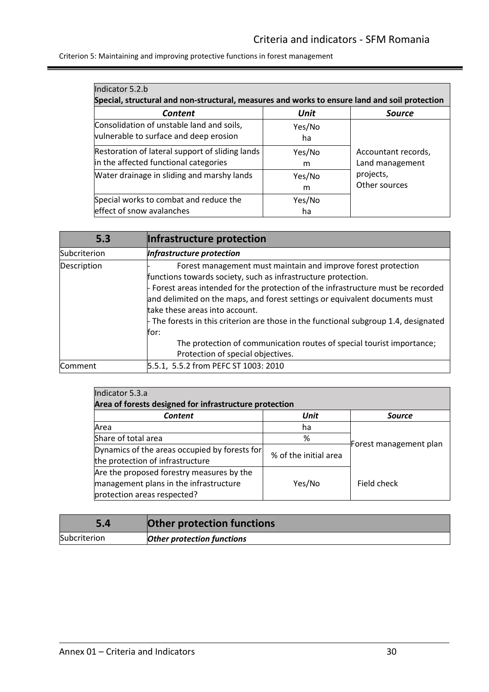| Indicator 5.2.b<br>Special, structural and non-structural, measures and works to ensure land and soil protection |              |                                        |
|------------------------------------------------------------------------------------------------------------------|--------------|----------------------------------------|
| Content                                                                                                          | <b>Unit</b>  | <b>Source</b>                          |
| Consolidation of unstable land and soils,<br>vulnerable to surface and deep erosion                              | Yes/No<br>ha |                                        |
| Restoration of lateral support of sliding lands<br>in the affected functional categories                         | Yes/No<br>m  | Accountant records,<br>Land management |
| Water drainage in sliding and marshy lands                                                                       | Yes/No<br>m  | projects,<br>Other sources             |
| Special works to combat and reduce the<br>effect of snow avalanches                                              | Yes/No<br>ha |                                        |

<span id="page-29-0"></span>

| 5.3            | Infrastructure protection                                                                                                                                                                                                                                                                                                                                                                                                                                                                                                                          |
|----------------|----------------------------------------------------------------------------------------------------------------------------------------------------------------------------------------------------------------------------------------------------------------------------------------------------------------------------------------------------------------------------------------------------------------------------------------------------------------------------------------------------------------------------------------------------|
| Subcriterion   | Infrastructure protection                                                                                                                                                                                                                                                                                                                                                                                                                                                                                                                          |
| Description    | Forest management must maintain and improve forest protection<br>functions towards society, such as infrastructure protection.<br>- Forest areas intended for the protection of the infrastructure must be recorded<br>and delimited on the maps, and forest settings or equivalent documents must<br>take these areas into account.<br>- The forests in this criterion are those in the functional subgroup 1.4, designated<br>for:<br>The protection of communication routes of special tourist importance;<br>Protection of special objectives. |
| <b>Comment</b> | 5.5.1, 5.5.2 from PEFC ST 1003: 2010                                                                                                                                                                                                                                                                                                                                                                                                                                                                                                               |

| Indicator 5.3.a                                        |                       |                        |  |
|--------------------------------------------------------|-----------------------|------------------------|--|
| Area of forests designed for infrastructure protection |                       |                        |  |
| <b>Content</b>                                         | Unit                  | <b>Source</b>          |  |
| Area                                                   | ha                    |                        |  |
| Share of total area                                    | %                     |                        |  |
| Dynamics of the areas occupied by forests for          | % of the initial area | Forest management plan |  |
| the protection of infrastructure                       |                       |                        |  |
| Are the proposed forestry measures by the              |                       |                        |  |
| management plans in the infrastructure                 | Yes/No                | Field check            |  |
| protection areas respected?                            |                       |                        |  |

<span id="page-29-1"></span>

|              | <b>Other protection functions</b> |
|--------------|-----------------------------------|
| Subcriterion | <b>Other protection functions</b> |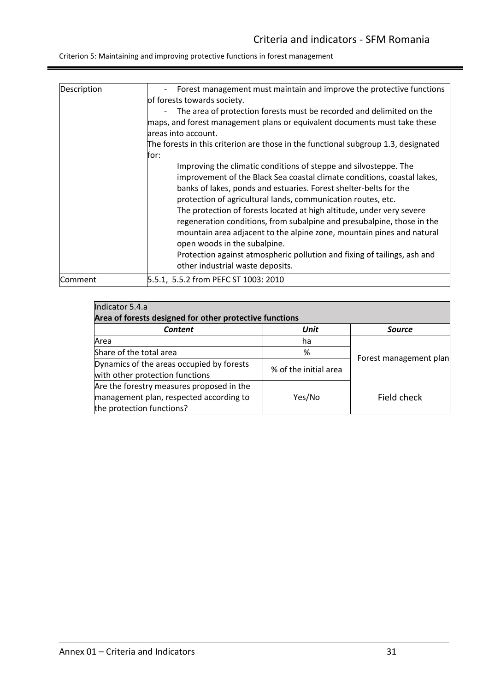| Description | Forest management must maintain and improve the protective functions                                                                                                                                                                                                                                                                                                                                                                                                                                                                         |
|-------------|----------------------------------------------------------------------------------------------------------------------------------------------------------------------------------------------------------------------------------------------------------------------------------------------------------------------------------------------------------------------------------------------------------------------------------------------------------------------------------------------------------------------------------------------|
|             | of forests towards society.                                                                                                                                                                                                                                                                                                                                                                                                                                                                                                                  |
|             | The area of protection forests must be recorded and delimited on the<br>$\overline{\phantom{0}}$<br>maps, and forest management plans or equivalent documents must take these                                                                                                                                                                                                                                                                                                                                                                |
|             | lareas into account.                                                                                                                                                                                                                                                                                                                                                                                                                                                                                                                         |
|             | The forests in this criterion are those in the functional subgroup 1.3, designated                                                                                                                                                                                                                                                                                                                                                                                                                                                           |
|             | for:                                                                                                                                                                                                                                                                                                                                                                                                                                                                                                                                         |
|             | Improving the climatic conditions of steppe and silvosteppe. The<br>improvement of the Black Sea coastal climate conditions, coastal lakes,<br>banks of lakes, ponds and estuaries. Forest shelter-belts for the<br>protection of agricultural lands, communication routes, etc.<br>The protection of forests located at high altitude, under very severe<br>regeneration conditions, from subalpine and presubalpine, those in the<br>mountain area adjacent to the alpine zone, mountain pines and natural<br>open woods in the subalpine. |
|             | Protection against atmospheric pollution and fixing of tailings, ash and<br>other industrial waste deposits.                                                                                                                                                                                                                                                                                                                                                                                                                                 |
| lComment    | 5.5.1, 5.5.2 from PEFC ST 1003: 2010                                                                                                                                                                                                                                                                                                                                                                                                                                                                                                         |

| Indicator 5.4.a                                                                                                   |                       |                        |
|-------------------------------------------------------------------------------------------------------------------|-----------------------|------------------------|
| Area of forests designed for other protective functions                                                           |                       |                        |
| Content                                                                                                           | Unit                  | <b>Source</b>          |
| Area                                                                                                              | ha                    |                        |
| Share of the total area                                                                                           | %                     |                        |
| Dynamics of the areas occupied by forests<br>with other protection functions                                      | % of the initial area | Forest management plan |
| Are the forestry measures proposed in the<br>management plan, respected according to<br>the protection functions? | Yes/No                | Field check            |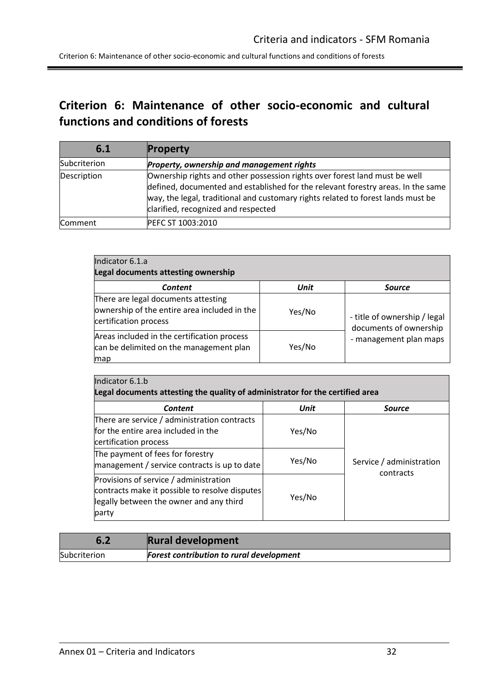Criterion 6: Maintenance of other socio-economic and cultural functions and conditions of forests

<span id="page-31-1"></span><span id="page-31-0"></span>

| 6.1            | <b>Property</b>                                                                                                                                                                                                                                                                           |
|----------------|-------------------------------------------------------------------------------------------------------------------------------------------------------------------------------------------------------------------------------------------------------------------------------------------|
| Subcriterion   | Property, ownership and management rights                                                                                                                                                                                                                                                 |
| Description    | Ownership rights and other possession rights over forest land must be well<br>defined, documented and established for the relevant forestry areas. In the same<br>way, the legal, traditional and customary rights related to forest lands must be<br>clarified, recognized and respected |
| <b>Comment</b> | PEFC ST 1003:2010                                                                                                                                                                                                                                                                         |

| Indicator 6.1.a<br>Legal documents attesting ownership                                                       |             |                                                                                  |
|--------------------------------------------------------------------------------------------------------------|-------------|----------------------------------------------------------------------------------|
| Content                                                                                                      | <b>Unit</b> | <b>Source</b>                                                                    |
| There are legal documents attesting<br>ownership of the entire area included in the<br>certification process | Yes/No      | - title of ownership / legal<br>documents of ownership<br>- management plan maps |
| Areas included in the certification process<br>can be delimited on the management plan<br>map                | Yes/No      |                                                                                  |

| Indicator 6.1.b                                                                                                                                                                                   |                  |                                       |  |
|---------------------------------------------------------------------------------------------------------------------------------------------------------------------------------------------------|------------------|---------------------------------------|--|
| Legal documents attesting the quality of administrator for the certified area                                                                                                                     |                  |                                       |  |
| Content                                                                                                                                                                                           | Unit             | <b>Source</b>                         |  |
| There are service / administration contracts<br>lfor the entire area included in the<br>certification process<br>The payment of fees for forestry<br>management / service contracts is up to date | Yes/No<br>Yes/No | Service / administration<br>contracts |  |
| Provisions of service / administration<br>contracts make it possible to resolve disputes<br>legally between the owner and any third<br>party                                                      | Yes/No           |                                       |  |

<span id="page-31-2"></span>

| 6.2          | <b>Rural development</b>                        |
|--------------|-------------------------------------------------|
| Subcriterion | <b>Forest contribution to rural development</b> |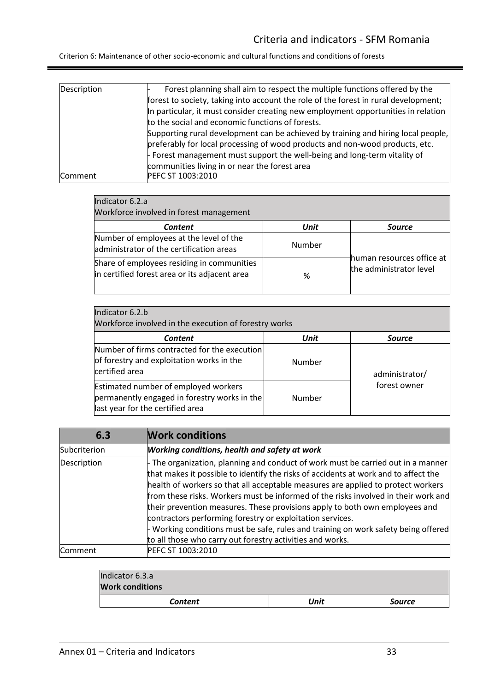| Description | Forest planning shall aim to respect the multiple functions offered by the          |
|-------------|-------------------------------------------------------------------------------------|
|             | forest to society, taking into account the role of the forest in rural development; |
|             | In particular, it must consider creating new employment opportunities in relation   |
|             | to the social and economic functions of forests.                                    |
|             | Supporting rural development can be achieved by training and hiring local people,   |
|             | preferably for local processing of wood products and non-wood products, etc.        |
|             | Forest management must support the well-being and long-term vitality of             |
|             | communities living in or near the forest area                                       |
| Comment     | PEFC ST 1003:2010                                                                   |

| Indicator 6.2.a |  |
|-----------------|--|

| Workforce involved in forest management                                                     |             |                                                      |
|---------------------------------------------------------------------------------------------|-------------|------------------------------------------------------|
| <b>Content</b>                                                                              | <b>Unit</b> | <b>Source</b>                                        |
| Number of employees at the level of the<br>administrator of the certification areas         | Number      |                                                      |
| Share of employees residing in communities<br>in certified forest area or its adjacent area | %           | human resources office at<br>the administrator level |

| Indicator 6.2.b<br>Workforce involved in the execution of forestry works                                                        |        |                                |  |
|---------------------------------------------------------------------------------------------------------------------------------|--------|--------------------------------|--|
| <b>Content</b>                                                                                                                  | Unit   | <b>Source</b>                  |  |
| Number of firms contracted for the execution<br>of forestry and exploitation works in the<br>certified area                     | Number | administrator/<br>forest owner |  |
| <b>Estimated number of employed workers</b><br>permanently engaged in forestry works in the<br>last year for the certified area | Number |                                |  |

<span id="page-32-0"></span>

| 6.3            | <b>Work conditions</b>                                                                                                                                                                                                                                                                                                                                                                                                                                                                                                                                                                                                                                        |
|----------------|---------------------------------------------------------------------------------------------------------------------------------------------------------------------------------------------------------------------------------------------------------------------------------------------------------------------------------------------------------------------------------------------------------------------------------------------------------------------------------------------------------------------------------------------------------------------------------------------------------------------------------------------------------------|
| Subcriterion   | <b>Working conditions, health and safety at work</b>                                                                                                                                                                                                                                                                                                                                                                                                                                                                                                                                                                                                          |
| Description    | $\overline{ }$ The organization, planning and conduct of work must be carried out in a manner<br>that makes it possible to identify the risks of accidents at work and to affect the<br>health of workers so that all acceptable measures are applied to protect workers<br>from these risks. Workers must be informed of the risks involved in their work and<br>their prevention measures. These provisions apply to both own employees and<br>contractors performing forestry or exploitation services.<br>- Working conditions must be safe, rules and training on work safety being offered<br>to all those who carry out forestry activities and works. |
| <b>Comment</b> | PEFC ST 1003:2010                                                                                                                                                                                                                                                                                                                                                                                                                                                                                                                                                                                                                                             |

| Indicator 6.3.a        |      |               |
|------------------------|------|---------------|
| <b>Work conditions</b> |      |               |
| <b>Content</b>         | Unit | <b>Source</b> |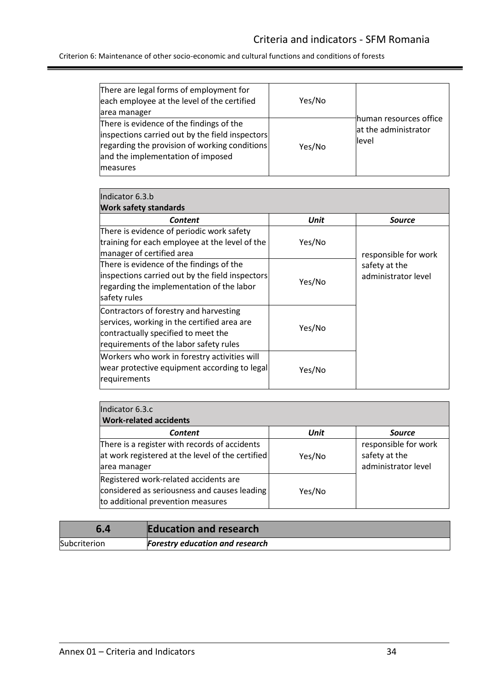| There are legal forms of employment for<br>each employee at the level of the certified<br>area manager                                                                                        | Yes/No | human resources office         |
|-----------------------------------------------------------------------------------------------------------------------------------------------------------------------------------------------|--------|--------------------------------|
| There is evidence of the findings of the<br>inspections carried out by the field inspectors<br>regarding the provision of working conditions<br>and the implementation of imposed<br>measures | Yes/No | at the administrator<br>llevel |

| Indicator 6.3.b<br><b>Work safety standards</b>                                                                                                                        |        |                                      |
|------------------------------------------------------------------------------------------------------------------------------------------------------------------------|--------|--------------------------------------|
| Content                                                                                                                                                                | Unit   | <b>Source</b>                        |
| There is evidence of periodic work safety<br>training for each employee at the level of the<br>manager of certified area                                               | Yes/No | responsible for work                 |
| There is evidence of the findings of the<br>inspections carried out by the field inspectors<br>regarding the implementation of the labor<br>safety rules               | Yes/No | safety at the<br>administrator level |
| Contractors of forestry and harvesting<br>services, working in the certified area are<br>contractually specified to meet the<br>requirements of the labor safety rules | Yes/No |                                      |
| Workers who work in forestry activities will<br>wear protective equipment according to legal<br>requirements                                                           | Yes/No |                                      |

| Indicator 6.3.c<br><b>Work-related accidents</b>                                                                           |             |                                                              |  |
|----------------------------------------------------------------------------------------------------------------------------|-------------|--------------------------------------------------------------|--|
| <b>Content</b>                                                                                                             | <b>Unit</b> | <b>Source</b>                                                |  |
| There is a register with records of accidents<br>at work registered at the level of the certified<br>area manager          | Yes/No      | responsible for work<br>safety at the<br>administrator level |  |
| Registered work-related accidents are<br>considered as seriousness and causes leading<br>to additional prevention measures | Yes/No      |                                                              |  |

<span id="page-33-0"></span>

| 6.4          | <b>Education and research</b>          |
|--------------|----------------------------------------|
| Subcriterion | <b>Forestry education and research</b> |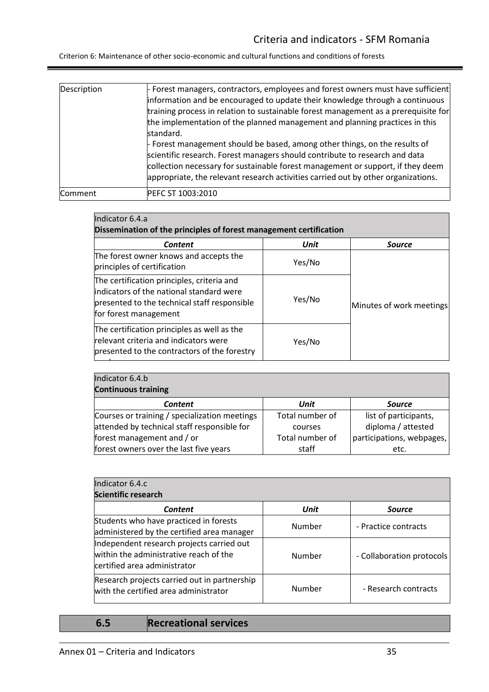Criterion 6: Maintenance of other socio-economic and cultural functions and conditions of forests

| Description | Forest managers, contractors, employees and forest owners must have sufficient<br>information and be encouraged to update their knowledge through a continuous<br>training process in relation to sustainable forest management as a prerequisite for<br>the implementation of the planned management and planning practices in this<br>standard.<br>Forest management should be based, among other things, on the results of<br>scientific research. Forest managers should contribute to research and data<br>collection necessary for sustainable forest management or support, if they deem<br>appropriate, the relevant research activities carried out by other organizations. |
|-------------|--------------------------------------------------------------------------------------------------------------------------------------------------------------------------------------------------------------------------------------------------------------------------------------------------------------------------------------------------------------------------------------------------------------------------------------------------------------------------------------------------------------------------------------------------------------------------------------------------------------------------------------------------------------------------------------|
| Comment     | PEFC ST 1003:2010                                                                                                                                                                                                                                                                                                                                                                                                                                                                                                                                                                                                                                                                    |

| Indicator 6.4.a<br>Dissemination of the principles of forest management certification                                                                            |        |                          |  |
|------------------------------------------------------------------------------------------------------------------------------------------------------------------|--------|--------------------------|--|
|                                                                                                                                                                  |        |                          |  |
| The forest owner knows and accepts the<br>principles of certification                                                                                            | Yes/No |                          |  |
| The certification principles, criteria and<br>lindicators of the national standard were<br>presented to the technical staff responsible<br>for forest management | Yes/No | Minutes of work meetings |  |
| The certification principles as well as the<br>relevant criteria and indicators were<br>presented to the contractors of the forestry                             | Yes/No |                          |  |

| Indicator 6.4.b                               |                 |                           |
|-----------------------------------------------|-----------------|---------------------------|
| <b>Continuous training</b>                    |                 |                           |
| <b>Content</b>                                | Unit            | <b>Source</b>             |
| Courses or training / specialization meetings | Total number of | list of participants,     |
| attended by technical staff responsible for   | courses         | diploma / attested        |
| forest management and / or                    | Total number of | participations, webpages, |
| forest owners over the last five years        | staff           | etc.                      |

| Indicator 6.4.c<br>Scientific research                                                                              |        |                           |  |
|---------------------------------------------------------------------------------------------------------------------|--------|---------------------------|--|
| <b>Content</b>                                                                                                      | Unit   | <b>Source</b>             |  |
| Students who have practiced in forests<br>administered by the certified area manager                                | Number | - Practice contracts      |  |
| Independent research projects carried out<br>within the administrative reach of the<br>certified area administrator | Number | - Collaboration protocols |  |
| Research projects carried out in partnership<br>with the certified area administrator                               | Number | - Research contracts      |  |

<span id="page-34-0"></span>**6.5 Recreational services**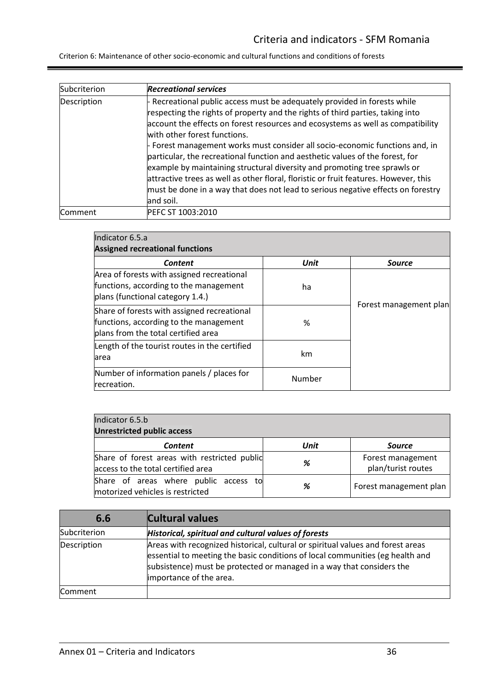| Subcriterion | <b>Recreational services</b>                                                                                                                                                                                                                                                                                                                                                                                                                                                                                                                                                                                                                                                                                          |
|--------------|-----------------------------------------------------------------------------------------------------------------------------------------------------------------------------------------------------------------------------------------------------------------------------------------------------------------------------------------------------------------------------------------------------------------------------------------------------------------------------------------------------------------------------------------------------------------------------------------------------------------------------------------------------------------------------------------------------------------------|
| Description  | - Recreational public access must be adequately provided in forests while<br>respecting the rights of property and the rights of third parties, taking into<br>account the effects on forest resources and ecosystems as well as compatibility<br>with other forest functions.<br>- Forest management works must consider all socio-economic functions and, in<br>particular, the recreational function and aesthetic values of the forest, for<br>example by maintaining structural diversity and promoting tree sprawls or<br>attractive trees as well as other floral, floristic or fruit features. However, this<br>must be done in a way that does not lead to serious negative effects on forestry<br>and soil. |
| Comment      | PEFC ST 1003:2010                                                                                                                                                                                                                                                                                                                                                                                                                                                                                                                                                                                                                                                                                                     |

| Indicator 6.5.a<br><b>Assigned recreational functions</b>                                                                    |        |                        |
|------------------------------------------------------------------------------------------------------------------------------|--------|------------------------|
| <b>Content</b>                                                                                                               | Unit   | <b>Source</b>          |
| Area of forests with assigned recreational<br>functions, according to the management<br>plans (functional category 1.4.)     | ha     |                        |
| Share of forests with assigned recreational<br>functions, according to the management<br>plans from the total certified area | %      | Forest management plan |
| Length of the tourist routes in the certified<br>area                                                                        | km     |                        |
| Number of information panels / places for<br>recreation.                                                                     | Number |                        |

| Indicator 6.5.b<br><b>Unrestricted public access</b>                               |      |                                         |
|------------------------------------------------------------------------------------|------|-----------------------------------------|
| <b>Content</b>                                                                     | Unit | <b>Source</b>                           |
| Share of forest areas with restricted public<br>access to the total certified area | %    | Forest management<br>plan/turist routes |
| Share of areas where public access to<br>motorized vehicles is restricted          | %    | Forest management plan                  |

<span id="page-35-0"></span>

| 6.6          | <b>Cultural values</b>                                                                                                                                                                                                                                               |
|--------------|----------------------------------------------------------------------------------------------------------------------------------------------------------------------------------------------------------------------------------------------------------------------|
| Subcriterion | Historical, spiritual and cultural values of forests                                                                                                                                                                                                                 |
| Description  | Areas with recognized historical, cultural or spiritual values and forest areas<br>essential to meeting the basic conditions of local communities (eg health and<br>subsistence) must be protected or managed in a way that considers the<br>importance of the area. |
| Comment      |                                                                                                                                                                                                                                                                      |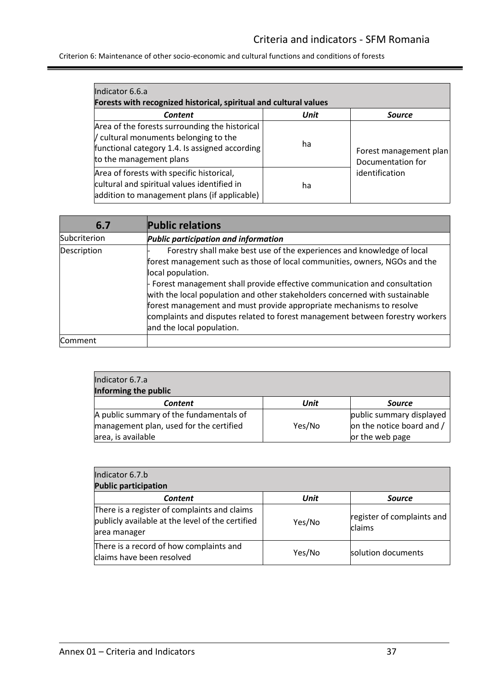| Indicator 6.6.a<br>Forests with recognized historical, spiritual and cultural values                                                                                 |      |                                             |  |
|----------------------------------------------------------------------------------------------------------------------------------------------------------------------|------|---------------------------------------------|--|
| <b>Content</b>                                                                                                                                                       | Unit | <b>Source</b>                               |  |
| Area of the forests surrounding the historical<br>/ cultural monuments belonging to the<br>functional category 1.4. Is assigned according<br>to the management plans | ha   | Forest management plan<br>Documentation for |  |
| Area of forests with specific historical,<br>cultural and spiritual values identified in<br>addition to management plans (if applicable)                             | ha   | identification                              |  |

<span id="page-36-0"></span>

| 6.7          | <b>Public relations</b>                                                                                                                                                                                                                                                                                                                                                                                                                                                                                                      |
|--------------|------------------------------------------------------------------------------------------------------------------------------------------------------------------------------------------------------------------------------------------------------------------------------------------------------------------------------------------------------------------------------------------------------------------------------------------------------------------------------------------------------------------------------|
| Subcriterion | Public participation and information                                                                                                                                                                                                                                                                                                                                                                                                                                                                                         |
| Description  | Forestry shall make best use of the experiences and knowledge of local<br>forest management such as those of local communities, owners, NGOs and the<br>local population.<br>- Forest management shall provide effective communication and consultation<br>with the local population and other stakeholders concerned with sustainable<br>forest management and must provide appropriate mechanisms to resolve<br>complaints and disputes related to forest management between forestry workers<br>and the local population. |
| Comment      |                                                                                                                                                                                                                                                                                                                                                                                                                                                                                                                              |

| Indicator 6.7.a                         |        |                           |  |
|-----------------------------------------|--------|---------------------------|--|
| Informing the public                    |        |                           |  |
| <b>Content</b>                          | Unit   | <b>Source</b>             |  |
| A public summary of the fundamentals of |        | public summary displayed  |  |
| management plan, used for the certified | Yes/No | on the notice board and / |  |
| area, is available                      |        | or the web page           |  |

| Indicator 6.7.b<br><b>Public participation</b>                                                                   |        |                                      |
|------------------------------------------------------------------------------------------------------------------|--------|--------------------------------------|
| <b>Content</b>                                                                                                   | Unit   | <b>Source</b>                        |
| There is a register of complaints and claims<br>publicly available at the level of the certified<br>area manager | Yes/No | register of complaints and<br>claims |
| There is a record of how complaints and<br>claims have been resolved                                             | Yes/No | solution documents                   |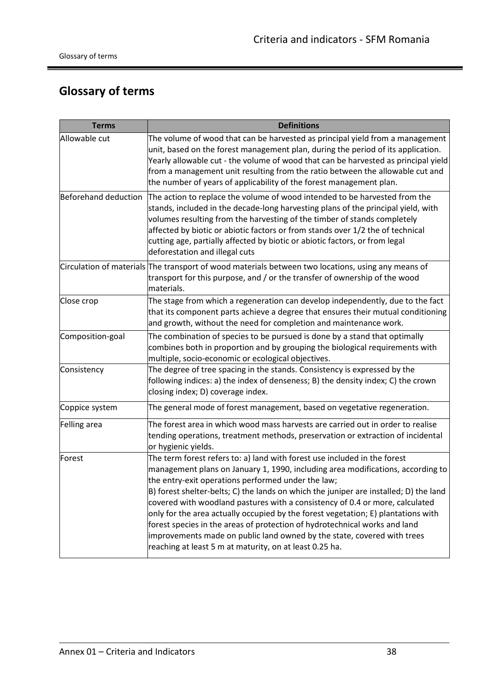# <span id="page-37-1"></span><span id="page-37-0"></span>**Glossary of terms**

| <b>Terms</b>         | <b>Definitions</b>                                                                                                                                                                                                                                                                                                                                                                                                                                                                                                                                                                                                                                                                                   |
|----------------------|------------------------------------------------------------------------------------------------------------------------------------------------------------------------------------------------------------------------------------------------------------------------------------------------------------------------------------------------------------------------------------------------------------------------------------------------------------------------------------------------------------------------------------------------------------------------------------------------------------------------------------------------------------------------------------------------------|
| Allowable cut        | The volume of wood that can be harvested as principal yield from a management<br>unit, based on the forest management plan, during the period of its application.<br>Yearly allowable cut - the volume of wood that can be harvested as principal yield<br>from a management unit resulting from the ratio between the allowable cut and<br>the number of years of applicability of the forest management plan.                                                                                                                                                                                                                                                                                      |
| Beforehand deduction | The action to replace the volume of wood intended to be harvested from the<br>stands, included in the decade-long harvesting plans of the principal yield, with<br>volumes resulting from the harvesting of the timber of stands completely<br>affected by biotic or abiotic factors or from stands over 1/2 the of technical<br>cutting age, partially affected by biotic or abiotic factors, or from legal<br>deforestation and illegal cuts                                                                                                                                                                                                                                                       |
|                      | Circulation of materials The transport of wood materials between two locations, using any means of<br>transport for this purpose, and / or the transfer of ownership of the wood<br>materials.                                                                                                                                                                                                                                                                                                                                                                                                                                                                                                       |
| Close crop           | The stage from which a regeneration can develop independently, due to the fact<br>that its component parts achieve a degree that ensures their mutual conditioning<br>and growth, without the need for completion and maintenance work.                                                                                                                                                                                                                                                                                                                                                                                                                                                              |
| Composition-goal     | The combination of species to be pursued is done by a stand that optimally<br>combines both in proportion and by grouping the biological requirements with<br>multiple, socio-economic or ecological objectives.                                                                                                                                                                                                                                                                                                                                                                                                                                                                                     |
| Consistency          | The degree of tree spacing in the stands. Consistency is expressed by the<br>following indices: a) the index of denseness; B) the density index; C) the crown<br>closing index; D) coverage index.                                                                                                                                                                                                                                                                                                                                                                                                                                                                                                   |
| Coppice system       | The general mode of forest management, based on vegetative regeneration.                                                                                                                                                                                                                                                                                                                                                                                                                                                                                                                                                                                                                             |
| Felling area         | The forest area in which wood mass harvests are carried out in order to realise<br>tending operations, treatment methods, preservation or extraction of incidental<br>or hygienic yields.                                                                                                                                                                                                                                                                                                                                                                                                                                                                                                            |
| Forest               | The term forest refers to: a) land with forest use included in the forest<br>management plans on January 1, 1990, including area modifications, according to<br>the entry-exit operations performed under the law;<br>B) forest shelter-belts; C) the lands on which the juniper are installed; D) the land<br>covered with woodland pastures with a consistency of 0.4 or more, calculated<br>only for the area actually occupied by the forest vegetation; E) plantations with<br>forest species in the areas of protection of hydrotechnical works and land<br>improvements made on public land owned by the state, covered with trees<br>reaching at least 5 m at maturity, on at least 0.25 ha. |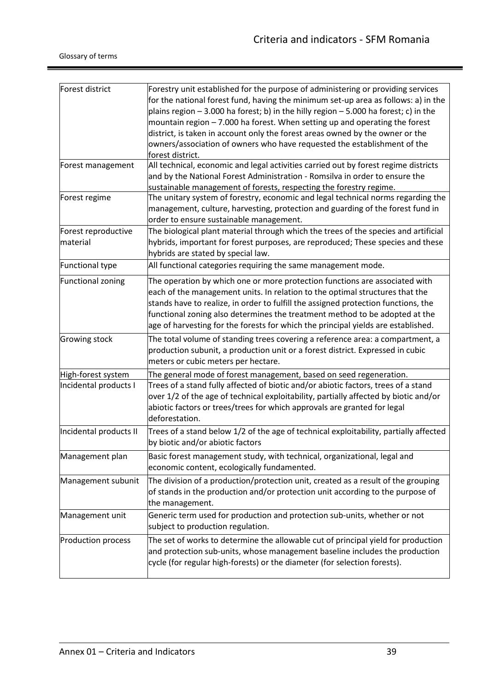ŧ

| Forest district          | Forestry unit established for the purpose of administering or providing services                                      |
|--------------------------|-----------------------------------------------------------------------------------------------------------------------|
|                          | for the national forest fund, having the minimum set-up area as follows: a) in the                                    |
|                          | plains region - 3.000 ha forest; b) in the hilly region - 5.000 ha forest; c) in the                                  |
|                          | mountain region - 7.000 ha forest. When setting up and operating the forest                                           |
|                          | district, is taken in account only the forest areas owned by the owner or the                                         |
|                          | owners/association of owners who have requested the establishment of the                                              |
|                          | forest district.                                                                                                      |
| Forest management        | All technical, economic and legal activities carried out by forest regime districts                                   |
|                          | and by the National Forest Administration - Romsilva in order to ensure the                                           |
|                          | sustainable management of forests, respecting the forestry regime.                                                    |
| Forest regime            | The unitary system of forestry, economic and legal technical norms regarding the                                      |
|                          | management, culture, harvesting, protection and guarding of the forest fund in                                        |
|                          | order to ensure sustainable management.                                                                               |
| Forest reproductive      | The biological plant material through which the trees of the species and artificial                                   |
| material                 | hybrids, important for forest purposes, are reproduced; These species and these<br>hybrids are stated by special law. |
| Functional type          | All functional categories requiring the same management mode.                                                         |
| <b>Functional zoning</b> | The operation by which one or more protection functions are associated with                                           |
|                          | each of the management units. In relation to the optimal structures that the                                          |
|                          | stands have to realize, in order to fulfill the assigned protection functions, the                                    |
|                          | functional zoning also determines the treatment method to be adopted at the                                           |
|                          | age of harvesting for the forests for which the principal yields are established.                                     |
| Growing stock            | The total volume of standing trees covering a reference area: a compartment, a                                        |
|                          | production subunit, a production unit or a forest district. Expressed in cubic                                        |
|                          | meters or cubic meters per hectare.                                                                                   |
| High-forest system       | The general mode of forest management, based on seed regeneration.                                                    |
| Incidental products I    | Trees of a stand fully affected of biotic and/or abiotic factors, trees of a stand                                    |
|                          | over 1/2 of the age of technical exploitability, partially affected by biotic and/or                                  |
|                          | abiotic factors or trees/trees for which approvals are granted for legal                                              |
|                          | deforestation.                                                                                                        |
| Incidental products II   | Trees of a stand below 1/2 of the age of technical exploitability, partially affected                                 |
|                          | by biotic and/or abiotic factors                                                                                      |
| Management plan          | Basic forest management study, with technical, organizational, legal and                                              |
|                          | economic content, ecologically fundamented.                                                                           |
| Management subunit       | The division of a production/protection unit, created as a result of the grouping                                     |
|                          | of stands in the production and/or protection unit according to the purpose of                                        |
|                          | the management.                                                                                                       |
| Management unit          | Generic term used for production and protection sub-units, whether or not                                             |
|                          | subject to production regulation.                                                                                     |
| Production process       | The set of works to determine the allowable cut of principal yield for production                                     |
|                          | and protection sub-units, whose management baseline includes the production                                           |
|                          | cycle (for regular high-forests) or the diameter (for selection forests).                                             |
|                          |                                                                                                                       |
|                          |                                                                                                                       |